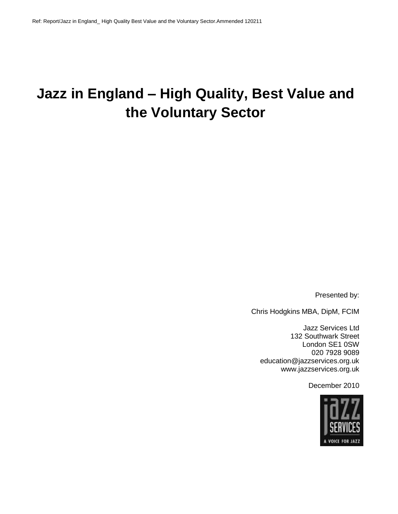# **Jazz in England – High Quality, Best Value and the Voluntary Sector**

Presented by:

Chris Hodgkins MBA, DipM, FCIM

Jazz Services Ltd 132 Southwark Street London SE1 0SW 020 7928 9089 education@jazzservices.org.uk www.jazzservices.org.uk

December 2010

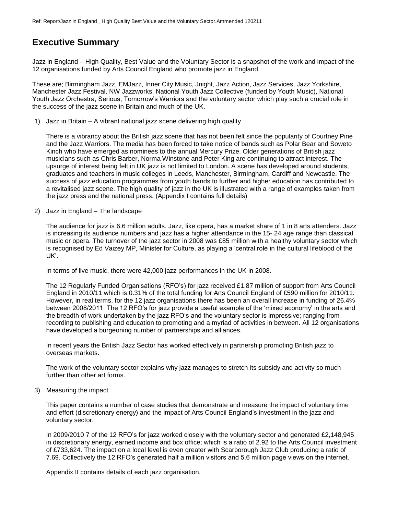# **Executive Summary**

Jazz in England – High Quality, Best Value and the Voluntary Sector is a snapshot of the work and impact of the 12 organisations funded by Arts Council England who promote jazz in England.

These are; Birmingham Jazz, EMJazz, Inner City Music, Jnight, Jazz Action, Jazz Services, Jazz Yorkshire, Manchester Jazz Festival, NW Jazzworks, National Youth Jazz Collective (funded by Youth Music), National Youth Jazz Orchestra, Serious, Tomorrow's Warriors and the voluntary sector which play such a crucial role in the success of the jazz scene in Britain and much of the UK.

1) Jazz in Britain – A vibrant national jazz scene delivering high quality

There is a vibrancy about the British jazz scene that has not been felt since the popularity of Courtney Pine and the Jazz Warriors. The media has been forced to take notice of bands such as Polar Bear and Soweto Kinch who have emerged as nominees to the annual Mercury Prize. Older generations of British jazz musicians such as Chris Barber, Norma Winstone and Peter King are continuing to attract interest. The upsurge of interest being felt in UK jazz is not limited to London. A scene has developed around students, graduates and teachers in music colleges in Leeds, Manchester, Birmingham, Cardiff and Newcastle. The success of jazz education programmes from youth bands to further and higher education has contributed to a revitalised jazz scene. The high quality of jazz in the UK is illustrated with a range of examples taken from the jazz press and the national press. (Appendix I contains full details)

2) Jazz in England – The landscape

The audience for jazz is 6.6 million adults. Jazz, like opera, has a market share of 1 in 8 arts attenders. Jazz is increasing its audience numbers and jazz has a higher attendance in the 15- 24 age range than classical music or opera. The turnover of the jazz sector in 2008 was £85 million with a healthy voluntary sector which is recognised by Ed Vaizey MP, Minister for Culture, as playing a 'central role in the cultural lifeblood of the UK'.

In terms of live music, there were 42,000 jazz performances in the UK in 2008.

The 12 Regularly Funded Organisations (RFO's) for jazz received £1.87 million of support from Arts Council England in 2010/11 which is 0.31% of the total funding for Arts Council England of £590 million for 2010/11. However, in real terms, for the 12 jazz organisations there has been an overall increase in funding of 26.4% between 2008/2011. The 12 RFO's for jazz provide a useful example of the 'mixed economy' in the arts and the breadth of work undertaken by the jazz RFO's and the voluntary sector is impressive; ranging from recording to publishing and education to promoting and a myriad of activities in between. All 12 organisations have developed a burgeoning number of partnerships and alliances.

In recent years the British Jazz Sector has worked effectively in partnership promoting British jazz to overseas markets.

The work of the voluntary sector explains why jazz manages to stretch its subsidy and activity so much further than other art forms.

3) Measuring the impact

This paper contains a number of case studies that demonstrate and measure the impact of voluntary time and effort (discretionary energy) and the impact of Arts Council England's investment in the jazz and voluntary sector.

In 2009/2010 7 of the 12 RFO's for jazz worked closely with the voluntary sector and generated £2,148,945 in discretionary energy, earned income and box office; which is a ratio of 2.92 to the Arts Council investment of £733,624. The impact on a local level is even greater with Scarborough Jazz Club producing a ratio of 7.69. Collectively the 12 RFO's generated half a million visitors and 5.6 million page views on the internet.

Appendix II contains details of each jazz organisation.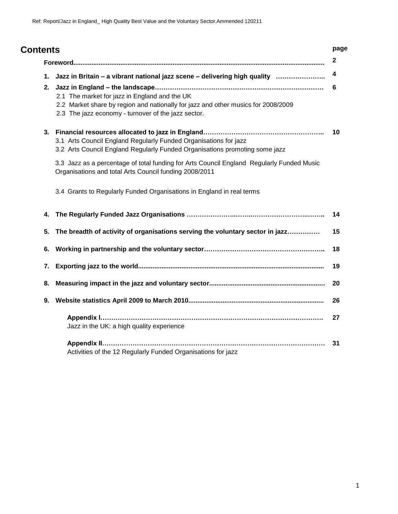| <b>Contents</b> |                                                                                                                                                                                           |
|-----------------|-------------------------------------------------------------------------------------------------------------------------------------------------------------------------------------------|
|                 |                                                                                                                                                                                           |
| 1.              | Jazz in Britain - a vibrant national jazz scene - delivering high quality                                                                                                                 |
| 2.              | 2.1 The market for jazz in England and the UK<br>2.2 Market share by region and nationally for jazz and other musics for 2008/2009<br>2.3 The jazz economy - turnover of the jazz sector. |
| 3.              | 3.1 Arts Council England Regularly Funded Organisations for jazz<br>3.2 Arts Council England Regularly Funded Organisations promoting some jazz                                           |
|                 | 3.3 Jazz as a percentage of total funding for Arts Council England Regularly Funded Music<br>Organisations and total Arts Council funding 2008/2011                                       |
|                 | 3.4 Grants to Regularly Funded Organisations in England in real terms                                                                                                                     |
| 4.              |                                                                                                                                                                                           |
| 5.              | The breadth of activity of organisations serving the voluntary sector in jazz                                                                                                             |
| 6.              |                                                                                                                                                                                           |
| 7.              |                                                                                                                                                                                           |
| 8.              |                                                                                                                                                                                           |
| 9.              |                                                                                                                                                                                           |
|                 | Jazz in the UK: a high quality experience                                                                                                                                                 |
|                 | Activities of the 12 Regularly Funded Organisations for jazz                                                                                                                              |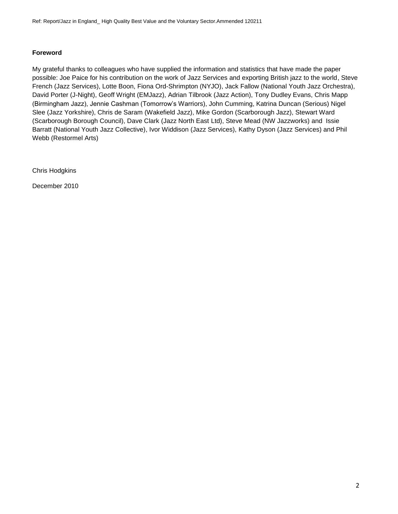# **Foreword**

My grateful thanks to colleagues who have supplied the information and statistics that have made the paper possible: Joe Paice for his contribution on the work of Jazz Services and exporting British jazz to the world, Steve French (Jazz Services), Lotte Boon, Fiona Ord-Shrimpton (NYJO), Jack Fallow (National Youth Jazz Orchestra), David Porter (J-Night), Geoff Wright (EMJazz), Adrian Tilbrook (Jazz Action), Tony Dudley Evans, Chris Mapp (Birmingham Jazz), Jennie Cashman (Tomorrow's Warriors), John Cumming, Katrina Duncan (Serious) Nigel Slee (Jazz Yorkshire), Chris de Saram (Wakefield Jazz), Mike Gordon (Scarborough Jazz), Stewart Ward (Scarborough Borough Council), Dave Clark (Jazz North East Ltd), Steve Mead (NW Jazzworks) and Issie Barratt (National Youth Jazz Collective), Ivor Widdison (Jazz Services), Kathy Dyson (Jazz Services) and Phil Webb (Restormel Arts)

Chris Hodgkins

December 2010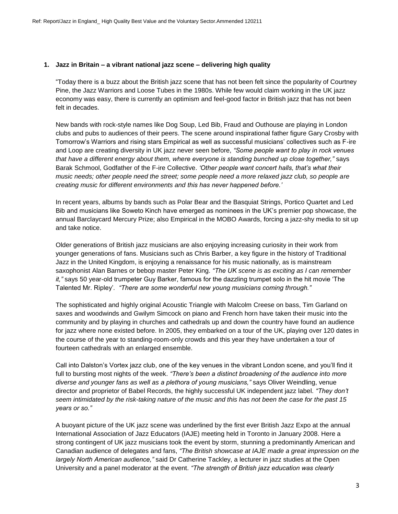### **1. Jazz in Britain – a vibrant national jazz scene – delivering high quality**

"Today there is a buzz about the British jazz scene that has not been felt since the popularity of Courtney Pine, the Jazz Warriors and Loose Tubes in the 1980s. While few would claim working in the UK jazz economy was easy, there is currently an optimism and feel-good factor in British jazz that has not been felt in decades.

New bands with rock-style names like Dog Soup, Led Bib, Fraud and Outhouse are playing in London clubs and pubs to audiences of their peers. The scene around inspirational father figure Gary Crosby with Tomorrow's Warriors and rising stars Empirical as well as successful musicians' collectives such as F-ire and Loop are creating diversity in UK jazz never seen before, *"Some people want to play in rock venues that have a different energy about them, where everyone is standing bunched up close together,"* says Barak Schmool, Godfather of the F-ire Collective. *'Other people want concert halls, that's what their music needs; other people need the street; some people need a more relaxed jazz club, so people are creating music for different environments and this has never happened before.'*

In recent years, albums by bands such as Polar Bear and the Basquiat Strings, Portico Quartet and Led Bib and musicians like Soweto Kinch have emerged as nominees in the UK's premier pop showcase, the annual Barclaycard Mercury Prize; also Empirical in the MOBO Awards, forcing a jazz-shy media to sit up and take notice.

Older generations of British jazz musicians are also enjoying increasing curiosity in their work from younger generations of fans. Musicians such as Chris Barber, a key figure in the history of Traditional Jazz in the United Kingdom, is enjoying a renaissance for his music nationally, as is mainstream saxophonist Alan Barnes or bebop master Peter King. *"The UK scene is as exciting as I can remember it,"* says 50 year-old trumpeter Guy Barker, famous for the dazzling trumpet solo in the hit movie 'The Talented Mr. Ripley'*. "There are some wonderful new young musicians coming through."*

The sophisticated and highly original Acoustic Triangle with Malcolm Creese on bass, Tim Garland on saxes and woodwinds and Gwilym Simcock on piano and French horn have taken their music into the community and by playing in churches and cathedrals up and down the country have found an audience for jazz where none existed before. In 2005, they embarked on a tour of the UK, playing over 120 dates in the course of the year to standing-room-only crowds and this year they have undertaken a tour of fourteen cathedrals with an enlarged ensemble.

Call into Dalston's Vortex jazz club, one of the key venues in the vibrant London scene, and you'll find it full to bursting most nights of the week. *"There's been a distinct broadening of the audience into more diverse and younger fans as well as a plethora of young musicians,"* says Oliver Weindling, venue director and proprietor of Babel Records, the highly successful UK independent jazz label. *"They don't seem intimidated by the risk-taking nature of the music and this has not been the case for the past 15 years or so."*

A buoyant picture of the UK jazz scene was underlined by the first ever British Jazz Expo at the annual International Association of Jazz Educators (IAJE) meeting held in Toronto in January 2008. Here a strong contingent of UK jazz musicians took the event by storm, stunning a predominantly American and Canadian audience of delegates and fans, *"The British showcase at IAJE made a great impression on the largely North American audience,"* said Dr Catherine Tackley, a lecturer in jazz studies at the Open University and a panel moderator at the event*. "The strength of British jazz education was clearly*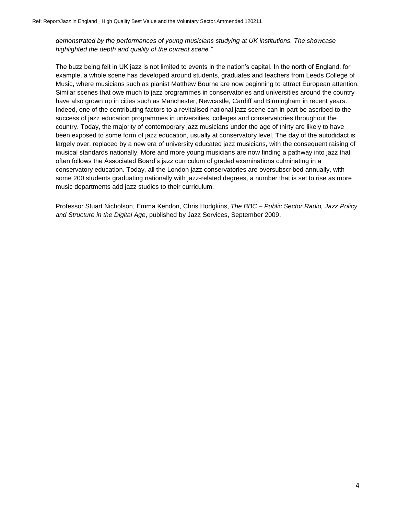*demonstrated by the performances of young musicians studying at UK institutions. The showcase highlighted the depth and quality of the current scene."*

The buzz being felt in UK jazz is not limited to events in the nation's capital. In the north of England, for example, a whole scene has developed around students, graduates and teachers from Leeds College of Music, where musicians such as pianist Matthew Bourne are now beginning to attract European attention. Similar scenes that owe much to jazz programmes in conservatories and universities around the country have also grown up in cities such as Manchester, Newcastle, Cardiff and Birmingham in recent years. Indeed, one of the contributing factors to a revitalised national jazz scene can in part be ascribed to the success of jazz education programmes in universities, colleges and conservatories throughout the country. Today, the majority of contemporary jazz musicians under the age of thirty are likely to have been exposed to some form of jazz education, usually at conservatory level. The day of the autodidact is largely over, replaced by a new era of university educated jazz musicians, with the consequent raising of musical standards nationally. More and more young musicians are now finding a pathway into jazz that often follows the Associated Board's jazz curriculum of graded examinations culminating in a conservatory education. Today, all the London jazz conservatories are oversubscribed annually, with some 200 students graduating nationally with jazz-related degrees, a number that is set to rise as more music departments add jazz studies to their curriculum.

Professor Stuart Nicholson, Emma Kendon, Chris Hodgkins, *The BBC – Public Sector Radio, Jazz Policy and Structure in the Digital Age*, published by Jazz Services, September 2009.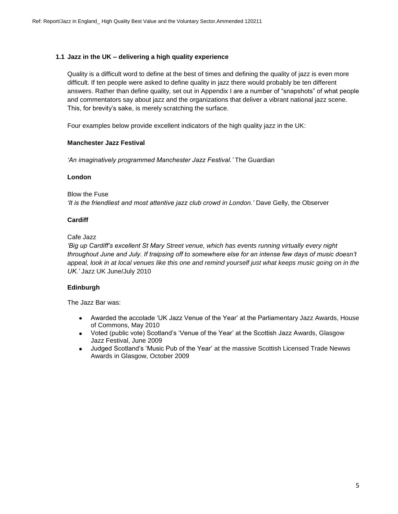### **1.1 Jazz in the UK – delivering a high quality experience**

Quality is a difficult word to define at the best of times and defining the quality of jazz is even more difficult. If ten people were asked to define quality in jazz there would probably be ten different answers. Rather than define quality, set out in Appendix I are a number of "snapshots" of what people and commentators say about jazz and the organizations that deliver a vibrant national jazz scene. This, for brevity's sake, is merely scratching the surface.

Four examples below provide excellent indicators of the high quality jazz in the UK:

### **Manchester Jazz Festival**

*'An imaginatively programmed Manchester Jazz Festival.'* The Guardian

### **London**

Blow the Fuse *'It is the friendliest and most attentive jazz club crowd in London.'* Dave Gelly, the Observer

### **Cardiff**

Cafe Jazz

*'Big up Cardiff's excellent St Mary Street venue, which has events running virtually every night throughout June and July. If traipsing off to somewhere else for an intense few days of music doesn't appeal, look in at local venues like this one and remind yourself just what keeps music going on in the UK.'* Jazz UK June/July 2010

### **Edinburgh**

The Jazz Bar was:

- Awarded the accolade 'UK Jazz Venue of the Year' at the Parliamentary Jazz Awards, House of Commons, May 2010
- Voted (public vote) Scotland's 'Venue of the Year' at the Scottish Jazz Awards, Glasgow Jazz Festival, June 2009
- Judged Scotland's 'Music Pub of the Year' at the massive Scottish Licensed Trade Newws Awards in Glasgow, October 2009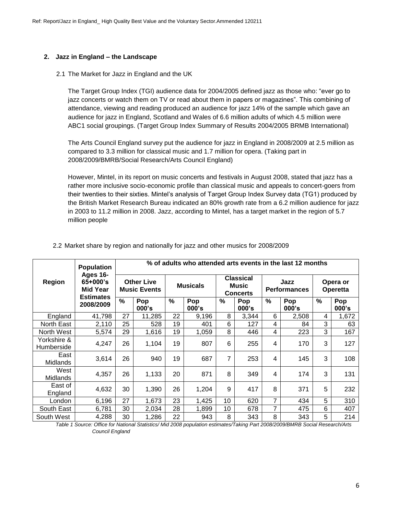### **2. Jazz in England – the Landscape**

### 2.1 The Market for Jazz in England and the UK

The Target Group Index (TGI) audience data for 2004/2005 defined jazz as those who: "ever go to jazz concerts or watch them on TV or read about them in papers or magazines". This combining of attendance, viewing and reading produced an audience for jazz 14% of the sample which gave an audience for jazz in England, Scotland and Wales of 6.6 million adults of which 4.5 million were ABC1 social groupings. (Target Group Index Summary of Results 2004/2005 BRMB International)

The Arts Council England survey put the audience for jazz in England in 2008/2009 at 2.5 million as compared to 3.3 million for classical music and 1.7 million for opera. (Taking part in 2008/2009/BMRB/Social Research/Arts Council England)

However, Mintel, in its report on music concerts and festivals in August 2008, stated that jazz has a rather more inclusive socio-economic profile than classical music and appeals to concert-goers from their twenties to their sixties. Mintel's analysis of Target Group Index Survey data (TG1) produced by the British Market Research Bureau indicated an 80% growth rate from a 6.2 million audience for jazz in 2003 to 11.2 million in 2008. Jazz, according to Mintel, has a target market in the region of 5.7 million people

|                           | <b>Population</b>                                              |                                          | % of adults who attended arts events in the last 12 months |                 |              |                                                     |              |               |                             |                      |              |  |  |
|---------------------------|----------------------------------------------------------------|------------------------------------------|------------------------------------------------------------|-----------------|--------------|-----------------------------------------------------|--------------|---------------|-----------------------------|----------------------|--------------|--|--|
| <b>Region</b>             | Ages 16-<br>$65+000$ 's<br><b>Mid Year</b><br><b>Estimates</b> | <b>Other Live</b><br><b>Music Events</b> |                                                            | <b>Musicals</b> |              | <b>Classical</b><br><b>Music</b><br><b>Concerts</b> |              |               | Jazz<br><b>Performances</b> | Opera or<br>Operetta |              |  |  |
|                           | 2008/2009                                                      | $\%$                                     | Pop<br>000's                                               | $\frac{0}{0}$   | Pop<br>000's | %                                                   | Pop<br>000's | $\frac{0}{0}$ | Pop<br>000's                | %                    | Pop<br>000's |  |  |
| England                   | 41,798                                                         | 27                                       | 11,285                                                     | 22              | 9,196        | 8                                                   | 3,344        | 6             | 2,508                       | 4                    | 1,672        |  |  |
| North East                | 2,110                                                          | 25                                       | 528                                                        | 19              | 401          | 6                                                   | 127          | 4             | 84                          | 3                    | 63           |  |  |
| North West                | 5,574                                                          | 29                                       | 1,616                                                      | 19              | 1,059        | 8                                                   | 446          | 4             | 223                         | 3                    | 167          |  |  |
| Yorkshire &<br>Humberside | 4,247                                                          | 26                                       | 1,104                                                      | 19              | 807          | 6                                                   | 255          | 4             | 170                         | 3                    | 127          |  |  |
| East<br><b>Midlands</b>   | 3,614                                                          | 26                                       | 940                                                        | 19              | 687          | 7                                                   | 253          | 4             | 145                         | 3                    | 108          |  |  |
| West<br><b>Midlands</b>   | 4,357                                                          | 26                                       | 1,133                                                      | 20              | 871          | 8                                                   | 349          | 4             | 174                         | 3                    | 131          |  |  |
| East of<br>England        | 4,632                                                          | 30                                       | 1,390                                                      | 26              | 1,204        | 9                                                   | 417          | 8             | 371                         | 5                    | 232          |  |  |
| London                    | 6,196                                                          | 27                                       | 1,673                                                      | 23              | 1,425        | 10                                                  | 620          | 7             | 434                         | 5                    | 310          |  |  |
| South East                | 6,781                                                          | 30                                       | 2,034                                                      | 28              | 1,899        | 10 <sup>1</sup>                                     | 678          | 7             | 475                         | 6                    | 407          |  |  |
| South West                | 4,288                                                          | 30                                       | 1,286                                                      | 22              | 943          | 8                                                   | 343          | 8             | 343                         | 5                    | 214          |  |  |

2.2 Market share by region and nationally for jazz and other musics for 2008/2009

*Table 1 Source: Office for National Statistics/ Mid 2008 population estimates/Taking Part 2008/2009/BMRB Social Research/Arts Council England*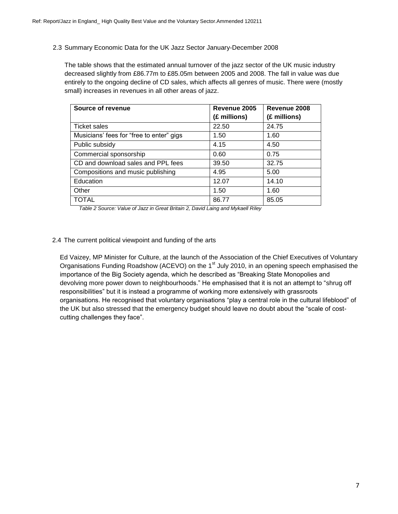2.3 Summary Economic Data for the UK Jazz Sector January-December 2008

The table shows that the estimated annual turnover of the jazz sector of the UK music industry decreased slightly from £86.77m to £85.05m between 2005 and 2008. The fall in value was due entirely to the ongoing decline of CD sales, which affects all genres of music. There were (mostly small) increases in revenues in all other areas of jazz.

| <b>Source of revenue</b>                 | Revenue 2005 | Revenue 2008 |
|------------------------------------------|--------------|--------------|
|                                          | (£ millions) | (£ millions) |
| <b>Ticket sales</b>                      | 22.50        | 24.75        |
| Musicians' fees for "free to enter" gigs | 1.50         | 1.60         |
| Public subsidy                           | 4.15         | 4.50         |
| Commercial sponsorship                   | 0.60         | 0.75         |
| CD and download sales and PPL fees       | 39.50        | 32.75        |
| Compositions and music publishing        | 4.95         | 5.00         |
| Education                                | 12.07        | 14.10        |
| Other                                    | 1.50         | 1.60         |
| <b>TOTAL</b>                             | 86.77        | 85.05        |

*Table 2 Source: Value of Jazz in Great Britain 2, David Laing and Mykaell Riley*

### 2.4 The current political viewpoint and funding of the arts

Ed Vaizey, MP Minister for Culture, at the launch of the Association of the Chief Executives of Voluntary Organisations Funding Roadshow (ACEVO) on the 1<sup>st</sup> July 2010, in an opening speech emphasised the importance of the Big Society agenda, which he described as "Breaking State Monopolies and devolving more power down to neighbourhoods." He emphasised that it is not an attempt to "shrug off responsibilities" but it is instead a programme of working more extensively with grassroots organisations. He recognised that voluntary organisations "play a central role in the cultural lifeblood" of the UK but also stressed that the emergency budget should leave no doubt about the "scale of costcutting challenges they face".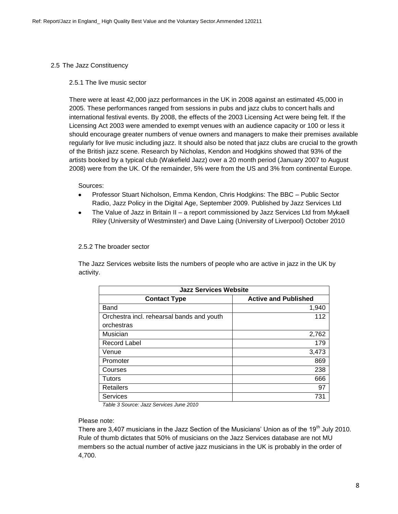### 2.5 The Jazz Constituency

### 2.5.1 The live music sector

There were at least 42,000 jazz performances in the UK in 2008 against an estimated 45,000 in 2005. These performances ranged from sessions in pubs and jazz clubs to concert halls and international festival events. By 2008, the effects of the 2003 Licensing Act were being felt. If the Licensing Act 2003 were amended to exempt venues with an audience capacity or 100 or less it should encourage greater numbers of venue owners and managers to make their premises available regularly for live music including jazz. It should also be noted that jazz clubs are crucial to the growth of the British jazz scene. Research by Nicholas, Kendon and Hodgkins showed that 93% of the artists booked by a typical club (Wakefield Jazz) over a 20 month period (January 2007 to August 2008) were from the UK. Of the remainder, 5% were from the US and 3% from continental Europe.

Sources:

- Professor Stuart Nicholson, Emma Kendon, Chris Hodgkins: The BBC Public Sector Radio, Jazz Policy in the Digital Age, September 2009. Published by Jazz Services Ltd
- The Value of Jazz in Britain II a report commissioned by Jazz Services Ltd from Mykaell Riley (University of Westminster) and Dave Laing (University of Liverpool) October 2010

2.5.2 The broader sector

The Jazz Services website lists the numbers of people who are active in jazz in the UK by activity.

| <b>Jazz Services Website</b>              |                             |  |  |  |  |  |  |  |  |
|-------------------------------------------|-----------------------------|--|--|--|--|--|--|--|--|
| <b>Contact Type</b>                       | <b>Active and Published</b> |  |  |  |  |  |  |  |  |
| Band                                      | 1,940                       |  |  |  |  |  |  |  |  |
| Orchestra incl. rehearsal bands and youth | 112                         |  |  |  |  |  |  |  |  |
| orchestras                                |                             |  |  |  |  |  |  |  |  |
| Musician                                  | 2,762                       |  |  |  |  |  |  |  |  |
| <b>Record Label</b>                       | 179                         |  |  |  |  |  |  |  |  |
| Venue                                     | 3,473                       |  |  |  |  |  |  |  |  |
| Promoter                                  | 869                         |  |  |  |  |  |  |  |  |
| Courses                                   | 238                         |  |  |  |  |  |  |  |  |
| Tutors                                    | 666                         |  |  |  |  |  |  |  |  |
| <b>Retailers</b>                          | 97                          |  |  |  |  |  |  |  |  |
| <b>Services</b>                           | 731                         |  |  |  |  |  |  |  |  |

*Table 3 Source: Jazz Services June 2010*

### Please note:

There are 3,407 musicians in the Jazz Section of the Musicians' Union as of the 19<sup>th</sup> July 2010. Rule of thumb dictates that 50% of musicians on the Jazz Services database are not MU members so the actual number of active jazz musicians in the UK is probably in the order of 4,700.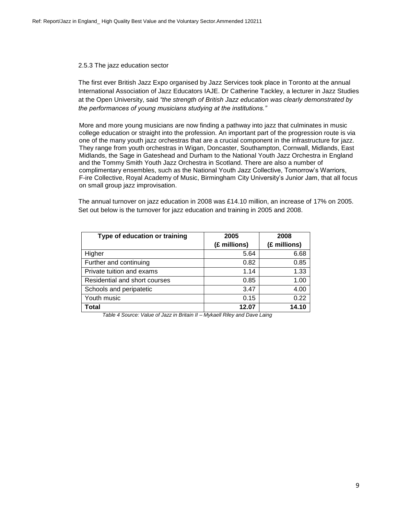### 2.5.3 The jazz education sector

The first ever British Jazz Expo organised by Jazz Services took place in Toronto at the annual International Association of Jazz Educators IAJE. Dr Catherine Tackley, a lecturer in Jazz Studies at the Open University, said *"the strength of British Jazz education was clearly demonstrated by the performances of young musicians studying at the institutions."* 

More and more young musicians are now finding a pathway into jazz that culminates in music college education or straight into the profession. An important part of the progression route is via one of the many youth jazz orchestras that are a crucial component in the infrastructure for jazz. They range from youth orchestras in Wigan, Doncaster, Southampton, Cornwall, Midlands, East Midlands, the Sage in Gateshead and Durham to the National Youth Jazz Orchestra in England and the Tommy Smith Youth Jazz Orchestra in Scotland. There are also a number of complimentary ensembles, such as the National Youth Jazz Collective, Tomorrow's Warriors, F-ire Collective, Royal Academy of Music, Birmingham City University's Junior Jam, that all focus on small group jazz improvisation.

The annual turnover on jazz education in 2008 was £14.10 million, an increase of 17% on 2005. Set out below is the turnover for jazz education and training in 2005 and 2008.

| Type of education or training | 2005         | 2008         |  |  |
|-------------------------------|--------------|--------------|--|--|
|                               | (£ millions) | (£ millions) |  |  |
| Higher                        | 5.64         | 6.68         |  |  |
| Further and continuing        | 0.82         | 0.85         |  |  |
| Private tuition and exams     | 1.14         | 1.33         |  |  |
| Residential and short courses | 0.85         | 1.00         |  |  |
| Schools and peripatetic       | 3.47         | 4.00         |  |  |
| Youth music                   | 0.15         | 0.22         |  |  |
| Total                         | 12.07        | 14.10        |  |  |

*Table 4 Source: Value of Jazz in Britain II – Mykaell Riley and Dave Laing*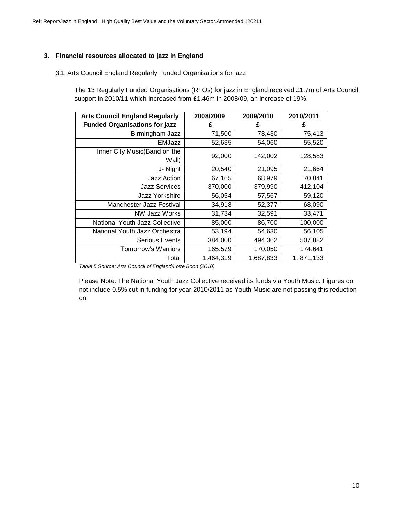### **3. Financial resources allocated to jazz in England**

### 3.1 Arts Council England Regularly Funded Organisations for jazz

The 13 Regularly Funded Organisations (RFOs) for jazz in England received £1.7m of Arts Council support in 2010/11 which increased from £1.46m in 2008/09, an increase of 19%.

| <b>Arts Council England Regularly</b> | 2008/2009 | 2009/2010 | 2010/2011 |
|---------------------------------------|-----------|-----------|-----------|
| <b>Funded Organisations for jazz</b>  | £         | £         | £         |
| Birmingham Jazz                       | 71,500    | 73,430    | 75,413    |
| EMJazz                                | 52,635    | 54,060    | 55,520    |
| Inner City Music(Band on the<br>Wall) | 92,000    | 142,002   | 128,583   |
| J- Night                              | 20,540    | 21,095    | 21,664    |
| Jazz Action                           | 67,165    | 68,979    | 70,841    |
| <b>Jazz Services</b>                  | 370,000   | 379,990   | 412,104   |
| Jazz Yorkshire                        | 56,054    | 57,567    | 59,120    |
| <b>Manchester Jazz Festival</b>       | 34,918    | 52,377    | 68,090    |
| NW Jazz Works                         | 31,734    | 32,591    | 33,471    |
| <b>National Youth Jazz Collective</b> | 85,000    | 86,700    | 100,000   |
| National Youth Jazz Orchestra         | 53,194    | 54,630    | 56,105    |
| <b>Serious Events</b>                 | 384,000   | 494,362   | 507,882   |
| <b>Tomorrow's Warriors</b>            | 165,579   | 170,050   | 174,641   |
| Total                                 | 1,464,319 | 1,687,833 | 1,871,133 |

*Table 5 Source: Arts Council of England/Lotte Boon (2010)*

Please Note: The National Youth Jazz Collective received its funds via Youth Music. Figures do not include 0.5% cut in funding for year 2010/2011 as Youth Music are not passing this reduction on.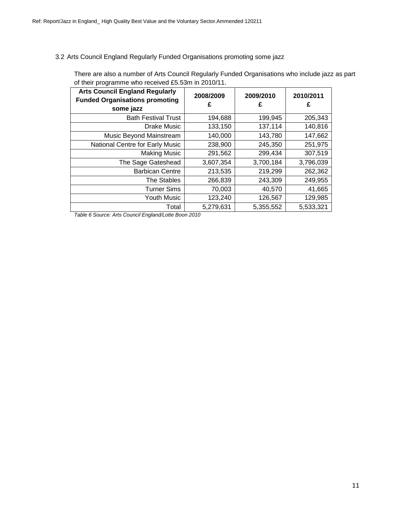### 3.2 Arts Council England Regularly Funded Organisations promoting some jazz

There are also a number of Arts Council Regularly Funded Organisations who include jazz as part of their programme who received £5.53m in 2010/11.

| <b>Arts Council England Regularly</b><br><b>Funded Organisations promoting</b><br>some jazz | 2008/2009<br>£ | 2009/2010<br>£ | 2010/2011<br>£ |
|---------------------------------------------------------------------------------------------|----------------|----------------|----------------|
| <b>Bath Festival Trust</b>                                                                  | 194,688        | 199,945        | 205,343        |
| Drake Music                                                                                 | 133,150        | 137,114        | 140,816        |
| Music Beyond Mainstream                                                                     | 140,000        | 143,780        | 147,662        |
| National Centre for Early Music                                                             | 238,900        | 245,350        | 251,975        |
| <b>Making Music</b>                                                                         | 291,562        | 299,434        | 307,519        |
| The Sage Gateshead                                                                          | 3,607,354      | 3,700,184      | 3,796,039      |
| <b>Barbican Centre</b>                                                                      | 213,535        | 219,299        | 262,362        |
| <b>The Stables</b>                                                                          | 266,839        | 243,309        | 249,955        |
| <b>Turner Sims</b>                                                                          | 70,003         | 40,570         | 41,665         |
| <b>Youth Music</b>                                                                          | 123,240        | 126,567        | 129,985        |
| Total                                                                                       | 5,279,631      | 5,355,552      | 5,533,321      |

*Table 6 Source: Arts Council England/Lotte Boon 2010*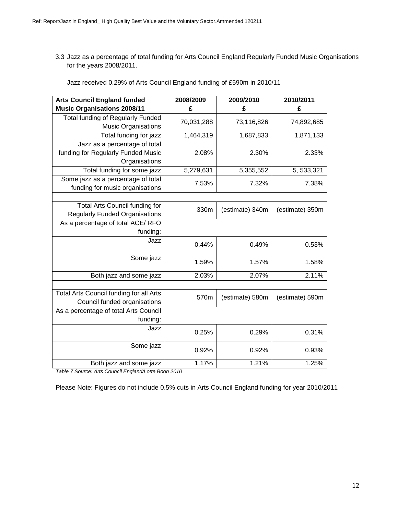3.3 Jazz as a percentage of total funding for Arts Council England Regularly Funded Music Organisations for the years 2008/2011.

| Jazz received 0.29% of Arts Council England funding of £590m in 2010/11 |  |  |
|-------------------------------------------------------------------------|--|--|
|-------------------------------------------------------------------------|--|--|

| <b>Arts Council England funded</b>                                     | 2008/2009  | 2009/2010       | 2010/2011       |
|------------------------------------------------------------------------|------------|-----------------|-----------------|
| <b>Music Organisations 2008/11</b>                                     | £          | £               | £               |
| <b>Total funding of Regularly Funded</b><br><b>Music Organisations</b> | 70,031,288 | 73,116,826      | 74,892,685      |
| Total funding for jazz                                                 | 1,464,319  | 1,687,833       | 1,871,133       |
| Jazz as a percentage of total                                          |            |                 |                 |
| funding for Regularly Funded Music                                     | 2.08%      | 2.30%           | 2.33%           |
| Organisations                                                          |            |                 |                 |
| Total funding for some jazz                                            | 5,279,631  | 5,355,552       | 5, 533, 321     |
| Some jazz as a percentage of total                                     | 7.53%      | 7.32%           | 7.38%           |
| funding for music organisations                                        |            |                 |                 |
|                                                                        |            |                 |                 |
| Total Arts Council funding for                                         | 330m       | (estimate) 340m | (estimate) 350m |
| <b>Regularly Funded Organisations</b>                                  |            |                 |                 |
| As a percentage of total ACE/RFO                                       |            |                 |                 |
| funding:                                                               |            |                 |                 |
| Jazz                                                                   | 0.44%      | 0.49%           | 0.53%           |
| Some jazz                                                              | 1.59%      | 1.57%           | 1.58%           |
| Both jazz and some jazz                                                | 2.03%      | 2.07%           | 2.11%           |
|                                                                        |            |                 |                 |
| <b>Total Arts Council funding for all Arts</b>                         | 570m       | (estimate) 580m | (estimate) 590m |
| Council funded organisations                                           |            |                 |                 |
| As a percentage of total Arts Council                                  |            |                 |                 |
| funding:                                                               |            |                 |                 |
| Jazz                                                                   | 0.25%      | 0.29%           | 0.31%           |
| Some jazz                                                              | 0.92%      | 0.92%           | 0.93%           |
| Both jazz and some jazz                                                | 1.17%      | 1.21%           | 1.25%           |

*Table 7 Source: Arts Council England/Lotte Boon 2010*

Please Note: Figures do not include 0.5% cuts in Arts Council England funding for year 2010/2011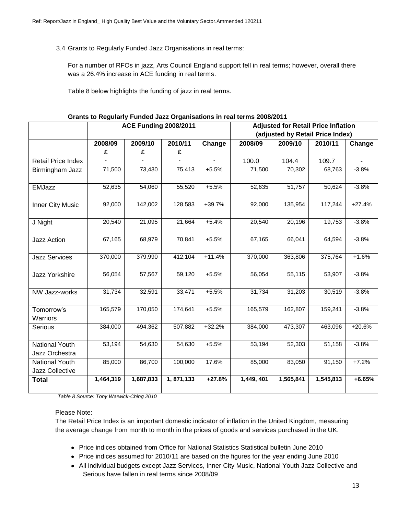3.4 Grants to Regularly Funded Jazz Organisations in real terms:

For a number of RFOs in jazz, Arts Council England support fell in real terms; however, overall there was a 26.4% increase in ACE funding in real terms.

Table 8 below highlights the funding of jazz in real terms.

|                                          |           | <b>ACE Funding 2008/2011</b> |           |          | <b>Adjusted for Retail Price Inflation</b> |                                  |           |          |  |  |
|------------------------------------------|-----------|------------------------------|-----------|----------|--------------------------------------------|----------------------------------|-----------|----------|--|--|
|                                          |           |                              |           |          |                                            | (adjusted by Retail Price Index) |           |          |  |  |
|                                          | 2008/09   | 2009/10                      | 2010/11   | Change   | 2008/09                                    | 2009/10                          | 2010/11   | Change   |  |  |
|                                          | £         | £                            | £         |          |                                            |                                  |           |          |  |  |
| Retail Price Index                       |           |                              |           |          | 100.0                                      | 104.4                            | 109.7     |          |  |  |
| Birmingham Jazz                          | 71,500    | 73,430                       | 75,413    | $+5.5%$  | 71,500                                     | 70,302                           | 68,763    | $-3.8%$  |  |  |
| <b>EMJazz</b>                            | 52,635    | 54,060                       | 55,520    | $+5.5%$  | 52,635                                     | 51,757                           | 50,624    | $-3.8%$  |  |  |
| Inner City Music                         | 92,000    | 142,002                      | 128,583   | $+39.7%$ | 92,000                                     | 135,954                          | 117,244   | $+27.4%$ |  |  |
| J Night                                  | 20,540    | 21,095                       | 21,664    | $+5.4%$  | 20,540                                     | 20,196                           | 19,753    | $-3.8%$  |  |  |
| <b>Jazz Action</b>                       | 67,165    | 68,979                       | 70,841    | $+5.5%$  | 67,165                                     | 66,041                           | 64,594    | $-3.8%$  |  |  |
| <b>Jazz Services</b>                     | 370,000   | 379,990                      | 412,104   | $+11.4%$ | 370,000                                    | 363,806                          | 375,764   | $+1.6%$  |  |  |
| Jazz Yorkshire                           | 56,054    | 57,567                       | 59,120    | $+5.5%$  | 56,054                                     | 55,115                           | 53,907    | $-3.8%$  |  |  |
| NW Jazz-works                            | 31,734    | 32,591                       | 33,471    | $+5.5%$  | 31,734                                     | 31,203                           | 30,519    | $-3.8%$  |  |  |
| Tomorrow's<br>Warriors                   | 165,579   | 170,050                      | 174,641   | $+5.5%$  | 165,579                                    | 162,807                          | 159,241   | $-3.8%$  |  |  |
| Serious                                  | 384,000   | 494,362                      | 507,882   | $+32.2%$ | 384,000                                    | 473,307                          | 463,096   | $+20.6%$ |  |  |
| National Youth                           | 53,194    | 54,630                       | 54,630    | $+5.5%$  | 53,194                                     | 52,303                           | 51,158    | $-3.8%$  |  |  |
| Jazz Orchestra                           | 85,000    | 86,700                       | 100,000   | 17.6%    | 85,000                                     | 83,050                           | 91,150    | $+7.2%$  |  |  |
| <b>National Youth</b><br>Jazz Collective |           |                              |           |          |                                            |                                  |           |          |  |  |
|                                          | 1,464,319 | 1,687,833                    | 1,871,133 | $+27.8%$ | 1,449, 401                                 | 1,565,841                        | 1,545,813 | $+6.65%$ |  |  |
| <b>Total</b>                             |           |                              |           |          |                                            |                                  |           |          |  |  |

**Grants to Regularly Funded Jazz Organisations in real terms 2008/2011**

*Table 8 Source: Tony Warwick-Ching 2010*

### Please Note:

The Retail Price Index is an important domestic indicator of inflation in the United Kingdom, measuring the average change from month to month in the prices of goods and services purchased in the UK.

- Price indices obtained from Office for National Statistics Statistical bulletin June 2010
- Price indices assumed for 2010/11 are based on the figures for the year ending June 2010
- All individual budgets except Jazz Services, Inner City Music, National Youth Jazz Collective and Serious have fallen in real terms since 2008/09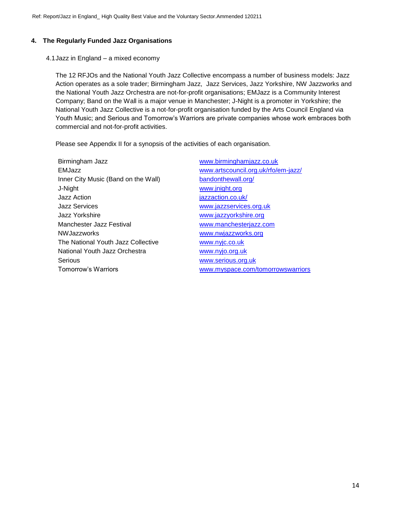# **4. The Regularly Funded Jazz Organisations**

4.1Jazz in England – a mixed economy

The 12 RFJOs and the National Youth Jazz Collective encompass a number of business models: Jazz Action operates as a sole trader; Birmingham Jazz, Jazz Services, Jazz Yorkshire, NW Jazzworks and the National Youth Jazz Orchestra are not-for-profit organisations; EMJazz is a Community Interest Company; Band on the Wall is a major venue in Manchester; J-Night is a promoter in Yorkshire; the National Youth Jazz Collective is a not-for-profit organisation funded by the Arts Council England via Youth Music; and Serious and Tomorrow's Warriors are private companies whose work embraces both commercial and not-for-profit activities.

Please see Appendix II for a synopsis of the activities of each organisation.

Birmingham Jazz [www.birminghamjazz.co.uk](http://www.birminghamjazz.co.uk/) EMJazz [www.artscouncil.org.uk/rfo/em-jazz/](http://www.artscouncil.org.uk/rfo/em-jazz/) Inner City Music (Band on the Wall) [bandonthewall.org/](http://bandonthewall.org/) J-Night [www.jnight.org](http://www.jnight.org/) Jazz Action [jazzaction.co.uk/](http://jazzaction.co.uk/) Jazz Services [www.jazzservices.org.uk](http://www.jazzservices.org.uk/) Jazz Yorkshire [www.jazzyorkshire.org](http://www.jazzyorkshire.org/) Manchester Jazz Festival [www.manchesterjazz.com](http://www.manchesterjazz.com/) NWJazzworks [www.nwjazzworks.org](http://www.nwjazzworks.org/) The National Youth Jazz Collective [www.nyjc.co.uk](http://www.nyjc.co.uk/) National Youth Jazz Orchestra **WWW.nyjo.org.uk** Serious **WALLS** Serious.org.uk

Tomorrow's Warriors [www.myspace.com/tomorrowswarriors](http://www.myspace.com/tomorrowswarriors)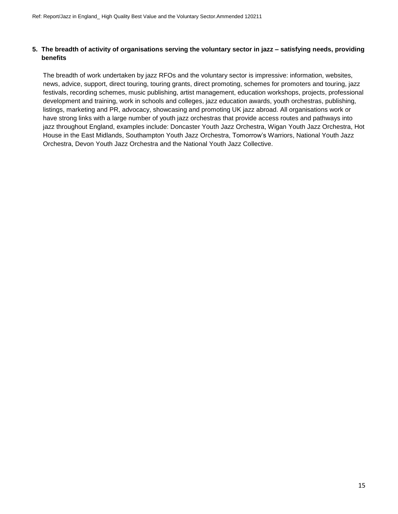### **5. The breadth of activity of organisations serving the voluntary sector in jazz – satisfying needs, providing benefits**

The breadth of work undertaken by jazz RFOs and the voluntary sector is impressive: information, websites, news, advice, support, direct touring, touring grants, direct promoting, schemes for promoters and touring, jazz festivals, recording schemes, music publishing, artist management, education workshops, projects, professional development and training, work in schools and colleges, jazz education awards, youth orchestras, publishing, listings, marketing and PR, advocacy, showcasing and promoting UK jazz abroad. All organisations work or have strong links with a large number of youth jazz orchestras that provide access routes and pathways into jazz throughout England, examples include: Doncaster Youth Jazz Orchestra, Wigan Youth Jazz Orchestra, Hot House in the East Midlands, Southampton Youth Jazz Orchestra, Tomorrow's Warriors, National Youth Jazz Orchestra, Devon Youth Jazz Orchestra and the National Youth Jazz Collective.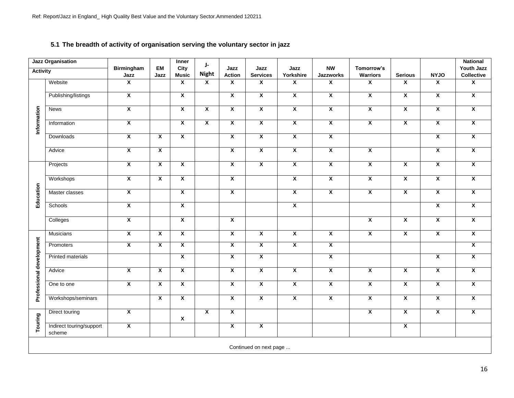# **5.1 The breadth of activity of organisation serving the voluntary sector in jazz**

|                          | <b>Jazz Organisation</b>           |                           |                         | Inner                   | J-                      |                         |                         |                         |                         |                         |                         |                         | <b>National</b>                 |
|--------------------------|------------------------------------|---------------------------|-------------------------|-------------------------|-------------------------|-------------------------|-------------------------|-------------------------|-------------------------|-------------------------|-------------------------|-------------------------|---------------------------------|
| <b>Activity</b>          |                                    | <b>Birmingham</b><br>Jazz | EM<br>Jazz              | City<br><b>Music</b>    | <b>Night</b>            | Jazz<br>Action          | Jazz<br><b>Services</b> | Jazz<br>Yorkshire       | <b>NW</b><br>Jazzworks  | Tomorrow's<br>Warriors  | <b>Serious</b>          | <b>NYJO</b>             | Youth Jazz<br><b>Collective</b> |
|                          | Website                            | $\overline{\mathbf{x}}$   |                         | $\overline{\mathbf{x}}$ | $\overline{\mathbf{x}}$ | $\overline{\mathbf{x}}$ | $\overline{\mathbf{x}}$ | $\overline{\mathbf{x}}$ | $\overline{\mathbf{x}}$ | $\overline{\mathbf{x}}$ | $\overline{\mathbf{x}}$ | $\overline{\mathbf{x}}$ | $\overline{\mathbf{x}}$         |
|                          |                                    |                           |                         |                         |                         |                         |                         |                         |                         |                         |                         |                         |                                 |
|                          | Publishing/listings                | $\overline{\mathbf{x}}$   |                         | $\overline{\mathbf{x}}$ |                         | $\overline{\mathbf{x}}$ | $\overline{\mathbf{X}}$ | $\overline{\mathbf{x}}$ | $\overline{\mathbf{x}}$ | $\overline{\mathbf{x}}$ | $\overline{\mathbf{x}}$ | $\overline{\mathbf{x}}$ | $\overline{\mathbf{x}}$         |
|                          | <b>News</b>                        | $\overline{\mathbf{x}}$   |                         | $\overline{\mathbf{x}}$ | $\overline{\mathbf{x}}$ | $\overline{\mathbf{x}}$ | $\overline{\mathbf{x}}$ | $\overline{\mathbf{x}}$ | $\overline{\mathbf{x}}$ | $\overline{\mathbf{x}}$ | $\overline{\mathbf{x}}$ | $\overline{\mathbf{x}}$ | $\overline{\mathbf{x}}$         |
| Information              | Information                        | $\overline{\mathbf{X}}$   |                         | $\overline{\mathbf{x}}$ | $\overline{\mathbf{x}}$ | $\overline{\mathbf{x}}$ | $\overline{\mathbf{x}}$ | $\overline{\mathbf{x}}$ | $\overline{\mathbf{x}}$ | $\overline{\mathbf{x}}$ | $\overline{\mathbf{x}}$ | $\overline{\mathbf{x}}$ | $\overline{\mathbf{x}}$         |
|                          | Downloads                          | $\overline{\mathbf{x}}$   | $\overline{\mathbf{x}}$ | $\overline{\mathbf{x}}$ |                         | $\overline{\mathbf{x}}$ | $\overline{\mathbf{x}}$ | $\overline{\mathbf{x}}$ | $\overline{\mathbf{x}}$ |                         |                         | $\overline{\mathbf{x}}$ | $\overline{\mathbf{x}}$         |
|                          | Advice                             | $\overline{\mathbf{x}}$   | $\overline{\mathbf{x}}$ |                         |                         | $\overline{\mathbf{x}}$ | $\overline{\mathbf{x}}$ | $\overline{\mathbf{x}}$ | $\overline{\mathbf{x}}$ | $\overline{\mathbf{x}}$ |                         | $\overline{\mathbf{x}}$ | $\overline{\mathbf{X}}$         |
|                          | Projects                           | $\overline{\mathbf{x}}$   | $\overline{\mathbf{x}}$ | $\overline{\mathbf{x}}$ |                         | $\overline{\mathbf{x}}$ | $\overline{\mathbf{x}}$ | $\overline{\mathbf{x}}$ | $\overline{\mathbf{x}}$ | $\overline{\mathbf{x}}$ | $\overline{\mathbf{x}}$ | $\overline{\mathbf{x}}$ | $\mathbf{x}$                    |
|                          | Workshops                          | $\overline{\mathbf{x}}$   | $\overline{\mathbf{x}}$ | $\overline{\mathbf{x}}$ |                         | $\overline{\mathbf{x}}$ |                         | $\overline{\mathbf{x}}$ | $\overline{\mathbf{x}}$ | $\overline{\mathbf{x}}$ | $\overline{\mathbf{x}}$ | $\overline{\mathbf{x}}$ | $\overline{\mathbf{x}}$         |
| Education                | Master classes                     | $\overline{\mathbf{x}}$   |                         | $\overline{\mathbf{x}}$ |                         | $\overline{\mathbf{x}}$ |                         | $\overline{\mathbf{x}}$ | $\overline{\mathbf{x}}$ | $\overline{\mathbf{x}}$ | $\overline{\mathbf{x}}$ | $\overline{\mathbf{x}}$ | $\overline{\mathbf{x}}$         |
|                          | Schools                            | $\pmb{\chi}$              |                         | $\overline{\mathbf{x}}$ |                         |                         |                         | $\overline{\mathbf{x}}$ |                         |                         |                         | $\overline{\mathbf{x}}$ | $\overline{\mathbf{x}}$         |
|                          | Colleges                           | $\overline{\mathbf{x}}$   |                         | $\overline{\mathbf{x}}$ |                         | $\overline{\mathbf{x}}$ |                         |                         |                         | $\overline{\mathbf{x}}$ | $\overline{\mathbf{x}}$ | $\overline{\mathbf{x}}$ | $\overline{\mathbf{x}}$         |
|                          | <b>Musicians</b>                   | $\overline{\mathbf{x}}$   | $\overline{\mathbf{x}}$ | $\overline{\mathbf{x}}$ |                         | $\overline{\mathbf{x}}$ | $\overline{\mathbf{x}}$ | $\overline{\mathbf{x}}$ | $\overline{\mathbf{x}}$ | $\overline{\mathbf{x}}$ | $\overline{\mathbf{x}}$ | $\overline{\mathbf{x}}$ | $\mathbf{x}$                    |
|                          | Promoters                          | $\overline{\mathbf{X}}$   | $\overline{\mathbf{x}}$ | $\overline{\mathbf{x}}$ |                         | $\overline{\mathbf{x}}$ | $\overline{\mathbf{x}}$ | $\overline{\mathbf{x}}$ | $\overline{\mathbf{x}}$ |                         |                         |                         | $\overline{\mathbf{x}}$         |
| Professional development | <b>Printed materials</b>           |                           |                         | $\overline{\mathbf{X}}$ |                         | $\overline{\mathbf{x}}$ | $\overline{\mathbf{x}}$ |                         | $\overline{\mathbf{x}}$ |                         |                         | $\overline{\mathbf{x}}$ | $\overline{\mathbf{x}}$         |
|                          | Advice                             | $\overline{\mathbf{x}}$   | $\overline{\mathbf{x}}$ | $\overline{\mathbf{x}}$ |                         | $\overline{\mathbf{x}}$ | $\overline{\mathbf{x}}$ | $\overline{\mathbf{x}}$ | $\overline{\mathbf{x}}$ | $\overline{\mathbf{x}}$ | $\overline{\mathbf{x}}$ | $\overline{\mathbf{X}}$ | $\overline{\mathbf{x}}$         |
|                          | One to one                         | $\overline{\mathbf{x}}$   | $\overline{\mathbf{x}}$ | $\overline{\mathbf{x}}$ |                         | $\overline{\mathbf{x}}$ | $\overline{\mathbf{x}}$ | $\overline{\mathbf{x}}$ | $\overline{\mathbf{x}}$ | $\overline{\mathbf{x}}$ | $\overline{\mathbf{x}}$ | $\overline{\mathbf{x}}$ | $\overline{\mathbf{x}}$         |
|                          | Workshops/seminars                 |                           | $\overline{\mathbf{x}}$ | $\overline{\mathbf{x}}$ |                         | $\overline{\mathbf{x}}$ | $\overline{\mathbf{x}}$ | $\overline{\mathbf{x}}$ | $\overline{\mathbf{x}}$ | $\overline{\mathbf{x}}$ | $\overline{\mathbf{x}}$ | $\overline{\mathbf{X}}$ | $\overline{\mathbf{x}}$         |
|                          | Direct touring                     | $\overline{\mathbf{x}}$   |                         | $\pmb{\mathsf{X}}$      | $\overline{\mathbf{x}}$ | $\overline{\mathbf{x}}$ |                         |                         |                         | $\overline{\mathbf{x}}$ | $\overline{\mathbf{x}}$ | $\overline{\mathbf{x}}$ | $\overline{\mathbf{x}}$         |
| Touring                  | Indirect touring/support<br>scheme | $\overline{\mathbf{x}}$   |                         |                         |                         | $\overline{\mathbf{x}}$ | $\overline{\mathbf{x}}$ |                         |                         |                         | $\overline{\mathbf{x}}$ |                         |                                 |
|                          |                                    |                           |                         |                         |                         |                         | Continued on next page  |                         |                         |                         |                         |                         |                                 |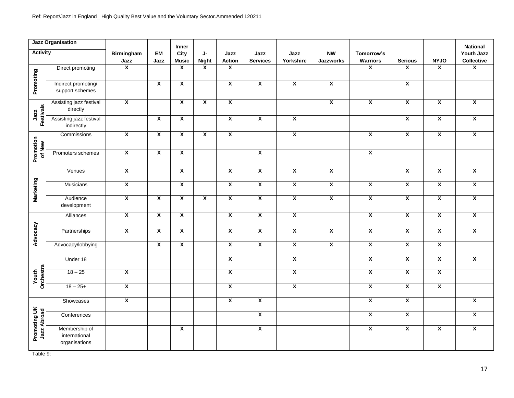|                             | <b>Jazz Organisation</b>                        |                         |                         | Inner                   |                         |                         |                         |                         |                               |                         |                         |                         | <b>National</b>          |
|-----------------------------|-------------------------------------------------|-------------------------|-------------------------|-------------------------|-------------------------|-------------------------|-------------------------|-------------------------|-------------------------------|-------------------------|-------------------------|-------------------------|--------------------------|
| <b>Activity</b>             |                                                 | Birmingham<br>Jazz      | EM<br>Jazz              | City<br><b>Music</b>    | J-<br><b>Night</b>      | Jazz<br><b>Action</b>   | Jazz<br><b>Services</b> | Jazz<br>Yorkshire       | <b>NW</b><br><b>Jazzworks</b> | Tomorrow's<br>Warriors  | <b>Serious</b>          | <b>NYJO</b>             | Youth Jazz<br>Collective |
|                             | Direct promoting                                | $\overline{\mathbf{x}}$ |                         | $\overline{\mathbf{x}}$ | $\overline{\mathbf{x}}$ | X                       |                         |                         |                               | $\overline{\mathbf{x}}$ | $\mathsf{x}$            | $\mathsf{x}$            | $\overline{\mathbf{X}}$  |
| Promoting                   | Indirect promoting/<br>support schemes          |                         | $\overline{\mathbf{x}}$ | $\overline{\mathbf{x}}$ |                         | $\overline{\mathbf{x}}$ | $\overline{\mathbf{x}}$ | $\overline{\mathbf{x}}$ | $\overline{\mathbf{x}}$       |                         | $\overline{\mathbf{x}}$ |                         |                          |
|                             | Assisting jazz festival<br>directly             | $\overline{\mathbf{x}}$ |                         | $\overline{\mathbf{x}}$ | $\overline{\mathbf{x}}$ | $\overline{\mathbf{x}}$ |                         |                         | $\overline{\mathbf{x}}$       | $\overline{\mathbf{x}}$ | $\overline{\mathbf{x}}$ | $\overline{\mathbf{X}}$ | $\overline{\mathbf{x}}$  |
| Jazz<br>Festivals           | Assisting jazz festival<br>indirectly           |                         | $\overline{\mathbf{x}}$ | $\overline{\mathbf{x}}$ |                         | $\overline{\mathbf{x}}$ | $\overline{\mathbf{x}}$ | $\overline{\mathbf{x}}$ |                               |                         | $\overline{\mathbf{x}}$ | $\overline{\mathbf{X}}$ | $\overline{\mathbf{x}}$  |
| Promotion<br>of New         | Commissions                                     | $\overline{\mathbf{x}}$ | $\overline{\mathbf{x}}$ | $\overline{\mathbf{x}}$ | $\overline{\mathbf{x}}$ | $\overline{\mathbf{x}}$ |                         | $\overline{\mathbf{x}}$ |                               | $\overline{\mathbf{x}}$ | $\overline{\mathbf{x}}$ | $\overline{\mathbf{x}}$ | $\overline{\mathbf{x}}$  |
|                             | Promoters schemes                               | $\overline{\mathbf{X}}$ | $\overline{\mathbf{x}}$ | $\overline{\mathbf{x}}$ |                         |                         | $\overline{\mathbf{X}}$ |                         |                               | $\overline{\mathbf{x}}$ |                         |                         |                          |
|                             | Venues                                          | $\overline{\mathbf{x}}$ |                         | $\overline{\mathbf{x}}$ |                         | $\overline{\mathbf{x}}$ | $\overline{\mathbf{X}}$ | $\overline{\mathbf{x}}$ | $\overline{\mathbf{x}}$       |                         | $\overline{\mathbf{x}}$ | $\overline{\mathbf{x}}$ | $\overline{\mathbf{x}}$  |
| Marketing                   | <b>Musicians</b>                                | $\overline{\mathbf{x}}$ |                         | X                       |                         | $\overline{\mathbf{x}}$ | $\overline{\mathbf{X}}$ | $\overline{\mathbf{x}}$ | $\overline{\mathbf{x}}$       | X                       | $\overline{\mathbf{x}}$ | $\overline{\mathbf{X}}$ | $\overline{\mathbf{x}}$  |
|                             | Audience<br>development                         | $\overline{\mathbf{X}}$ | $\overline{\mathbf{x}}$ | $\overline{\mathbf{x}}$ | $\overline{\mathbf{x}}$ | $\overline{\mathbf{x}}$ | $\overline{\mathbf{X}}$ | $\overline{\mathbf{x}}$ | $\overline{\mathbf{x}}$       | $\overline{\mathbf{x}}$ | $\overline{\mathbf{x}}$ | $\overline{\mathbf{x}}$ | $\overline{\mathbf{x}}$  |
|                             | Alliances                                       | $\mathbf{x}$            | $\overline{\mathbf{x}}$ | $\overline{\mathbf{x}}$ |                         | $\overline{\mathbf{x}}$ | $\overline{\mathbf{x}}$ | $\overline{\mathbf{x}}$ |                               | $\overline{\mathbf{x}}$ | $\overline{\mathbf{x}}$ | $\overline{\mathbf{x}}$ | $\overline{\mathbf{x}}$  |
| Advocacy                    | Partnerships                                    | $\overline{\mathbf{X}}$ | $\overline{\mathbf{x}}$ | $\overline{\mathbf{x}}$ |                         | $\overline{\mathbf{x}}$ | $\overline{\mathbf{x}}$ | $\overline{\mathbf{X}}$ | $\overline{\mathbf{x}}$       | $\overline{\mathbf{x}}$ | $\overline{\mathbf{x}}$ | $\overline{\mathbf{x}}$ | $\overline{\mathbf{x}}$  |
|                             | Advocacy/lobbying                               |                         | $\overline{\mathbf{x}}$ | $\overline{\mathbf{x}}$ |                         | $\overline{\mathbf{X}}$ | $\overline{\mathbf{x}}$ | $\overline{\mathbf{X}}$ | $\overline{\mathbf{x}}$       | $\overline{\mathbf{x}}$ | $\overline{\mathbf{x}}$ | $\overline{\mathbf{X}}$ |                          |
|                             | Under 18                                        |                         |                         |                         |                         | $\overline{\mathbf{x}}$ |                         | $\overline{\mathbf{x}}$ |                               | $\overline{\mathbf{x}}$ | $\overline{\mathbf{x}}$ | $\overline{\mathbf{x}}$ | $\overline{\mathbf{x}}$  |
| Youth<br>Orchestra          | $18 - 25$                                       | $\overline{\mathbf{x}}$ |                         |                         |                         | $\overline{\mathbf{x}}$ |                         | $\overline{\mathbf{x}}$ |                               | $\overline{\mathbf{x}}$ | $\overline{\mathbf{x}}$ | $\overline{\mathbf{x}}$ |                          |
|                             | $18 - 25+$                                      | $\overline{\mathbf{X}}$ |                         |                         |                         | $\overline{\mathbf{x}}$ |                         | $\overline{\mathbf{x}}$ |                               | $\overline{\mathbf{x}}$ | $\overline{\mathbf{x}}$ | $\overline{\mathbf{X}}$ |                          |
|                             | Showcases                                       | $\overline{\mathbf{x}}$ |                         |                         |                         | $\overline{\mathbf{x}}$ | $\overline{\mathbf{x}}$ |                         |                               | $\overline{\mathbf{x}}$ | $\overline{\mathbf{x}}$ |                         | $\overline{\mathbf{x}}$  |
|                             | Conferences                                     |                         |                         |                         |                         |                         | $\overline{\mathbf{X}}$ |                         |                               | $\overline{\mathbf{x}}$ | $\overline{\mathbf{x}}$ |                         | $\overline{\mathbf{x}}$  |
| Promoting UK<br>Jazz Abroad | Membership of<br>international<br>organisations |                         |                         | X                       |                         |                         | $\overline{\mathbf{X}}$ |                         |                               | X                       | $\overline{\mathbf{x}}$ | X                       | $\overline{\mathbf{x}}$  |

Table 9: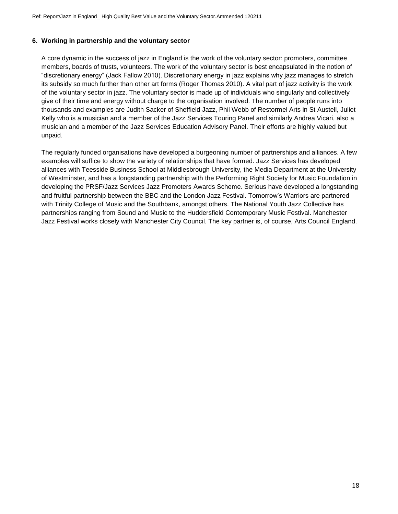### **6. Working in partnership and the voluntary sector**

A core dynamic in the success of jazz in England is the work of the voluntary sector: promoters, committee members, boards of trusts, volunteers. The work of the voluntary sector is best encapsulated in the notion of "discretionary energy" (Jack Fallow 2010). Discretionary energy in jazz explains why jazz manages to stretch its subsidy so much further than other art forms (Roger Thomas 2010). A vital part of jazz activity is the work of the voluntary sector in jazz. The voluntary sector is made up of individuals who singularly and collectively give of their time and energy without charge to the organisation involved. The number of people runs into thousands and examples are Judith Sacker of Sheffield Jazz, Phil Webb of Restormel Arts in St Austell, Juliet Kelly who is a musician and a member of the Jazz Services Touring Panel and similarly Andrea Vicari, also a musician and a member of the Jazz Services Education Advisory Panel. Their efforts are highly valued but unpaid.

The regularly funded organisations have developed a burgeoning number of partnerships and alliances. A few examples will suffice to show the variety of relationships that have formed. Jazz Services has developed alliances with Teesside Business School at Middlesbrough University, the Media Department at the University of Westminster, and has a longstanding partnership with the Performing Right Society for Music Foundation in developing the PRSF/Jazz Services Jazz Promoters Awards Scheme. Serious have developed a longstanding and fruitful partnership between the BBC and the London Jazz Festival. Tomorrow's Warriors are partnered with Trinity College of Music and the Southbank, amongst others. The National Youth Jazz Collective has partnerships ranging from Sound and Music to the Huddersfield Contemporary Music Festival. Manchester Jazz Festival works closely with Manchester City Council. The key partner is, of course, Arts Council England.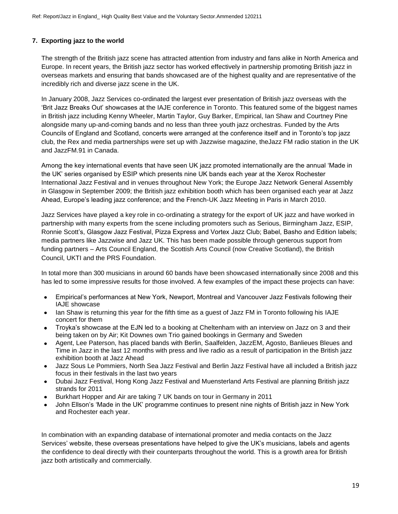# **7. Exporting jazz to the world**

The strength of the British jazz scene has attracted attention from industry and fans alike in North America and Europe. In recent years, the British jazz sector has worked effectively in partnership promoting British jazz in overseas markets and ensuring that bands showcased are of the highest quality and are representative of the incredibly rich and diverse jazz scene in the UK.

In January 2008, Jazz Services co-ordinated the largest ever presentation of British jazz overseas with the 'Brit Jazz Breaks Out' showcases at the IAJE conference in Toronto. This featured some of the biggest names in British jazz including Kenny Wheeler, Martin Taylor, Guy Barker, Empirical, Ian Shaw and Courtney Pine alongside many up-and-coming bands and no less than three youth jazz orchestras. Funded by the Arts Councils of England and Scotland, concerts were arranged at the conference itself and in Toronto's top jazz club, the Rex and media partnerships were set up with Jazzwise magazine, theJazz FM radio station in the UK and JazzFM.91 in Canada.

Among the key international events that have seen UK jazz promoted internationally are the annual 'Made in the UK' series organised by ESIP which presents nine UK bands each year at the Xerox Rochester International Jazz Festival and in venues throughout New York; the Europe Jazz Network General Assembly in Glasgow in September 2009; the British jazz exhibition booth which has been organised each year at Jazz Ahead, Europe's leading jazz conference; and the French-UK Jazz Meeting in Paris in March 2010.

Jazz Services have played a key role in co-ordinating a strategy for the export of UK jazz and have worked in partnership with many experts from the scene including promoters such as Serious, Birmingham Jazz, ESIP, Ronnie Scott's, Glasgow Jazz Festival, Pizza Express and Vortex Jazz Club; Babel, Basho and Edition labels; media partners like Jazzwise and Jazz UK. This has been made possible through generous support from funding partners – Arts Council England, the Scottish Arts Council (now Creative Scotland), the British Council, UKTI and the PRS Foundation.

In total more than 300 musicians in around 60 bands have been showcased internationally since 2008 and this has led to some impressive results for those involved. A few examples of the impact these projects can have:

- Empirical's performances at New York, Newport, Montreal and Vancouver Jazz Festivals following their IAJE showcase
- Ian Shaw is returning this year for the fifth time as a guest of Jazz FM in Toronto following his IAJE  $\bullet$ concert for them
- Troyka's showcase at the EJN led to a booking at Cheltenham with an interview on Jazz on 3 and their being taken on by Air; Kit Downes own Trio gained bookings in Germany and Sweden
- Agent, Lee Paterson, has placed bands with Berlin, Saalfelden, JazzEM, Agosto, Banlieues Bleues and Time in Jazz in the last 12 months with press and live radio as a result of participation in the British jazz exhibition booth at Jazz Ahead
- Jazz Sous Le Pommiers, North Sea Jazz Festival and Berlin Jazz Festival have all included a British jazz  $\bullet$ focus in their festivals in the last two years
- Dubai Jazz Festival, Hong Kong Jazz Festival and Muensterland Arts Festival are planning British jazz  $\bullet$ strands for 2011
- Burkhart Hopper and Air are taking 7 UK bands on tour in Germany in 2011
- John Ellson's 'Made in the UK' programme continues to present nine nights of British jazz in New York and Rochester each year.

In combination with an expanding database of international promoter and media contacts on the Jazz Services' website, these overseas presentations have helped to give the UK's musicians, labels and agents the confidence to deal directly with their counterparts throughout the world. This is a growth area for British jazz both artistically and commercially.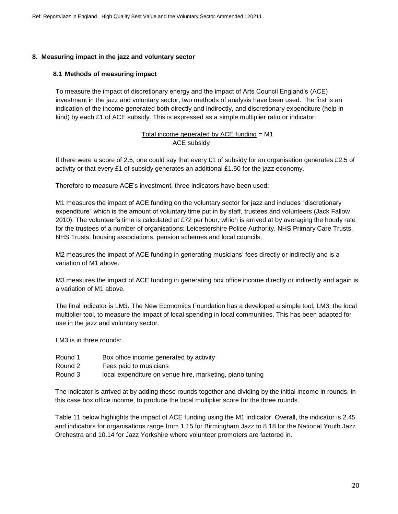### **8. Measuring impact in the jazz and voluntary sector**

### **8.1 Methods of measuring impact**

To measure the impact of discretionary energy and the impact of Arts Council England's (ACE) investment in the jazz and voluntary sector, two methods of analysis have been used. The first is an indication of the income generated both directly and indirectly, and discretionary expenditure (help in kind) by each £1 of ACE subsidy. This is expressed as a simple multiplier ratio or indicator:

> Total income generated by ACE funding = M1 ACE subsidy

If there were a score of 2.5, one could say that every £1 of subsidy for an organisation generates £2.5 of activity or that every £1 of subsidy generates an additional £1.50 for the jazz economy.

Therefore to measure ACE's investment, three indicators have been used:

M1 measures the impact of ACE funding on the voluntary sector for jazz and includes "discretionary expenditure" which is the amount of voluntary time put in by staff, trustees and volunteers (Jack Fallow 2010). The volunteer's time is calculated at £72 per hour, which is arrived at by averaging the hourly rate for the trustees of a number of organisations: Leicestershire Police Authority, NHS Primary Care Trusts, NHS Trusts, housing associations, pension schemes and local councils.

M2 measures the impact of ACE funding in generating musicians' fees directly or indirectly and is a variation of M1 above.

M3 measures the impact of ACE funding in generating box office income directly or indirectly and again is a variation of M1 above.

The final indicator is LM3. The New Economics Foundation has a developed a simple tool, LM3, the local multiplier tool, to measure the impact of local spending in local communities. This has been adapted for use in the jazz and voluntary sector.

LM3 is in three rounds:

- Round 1 Box office income generated by activity
- Round 2 Fees paid to musicians
- Round 3 local expenditure on venue hire, marketing, piano tuning

The indicator is arrived at by adding these rounds together and dividing by the initial income in rounds, in this case box office income, to produce the local multiplier score for the three rounds.

Table 11 below highlights the impact of ACE funding using the M1 indicator. Overall, the indicator is 2.45 and indicators for organisations range from 1.15 for Birmingham Jazz to 8.18 for the National Youth Jazz Orchestra and 10.14 for Jazz Yorkshire where volunteer promoters are factored in.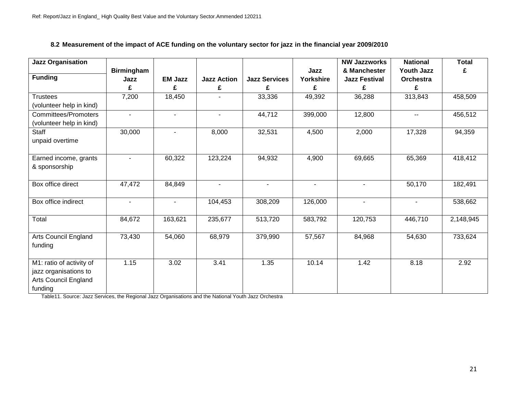# **8.2 Measurement of the impact of ACE funding on the voluntary sector for jazz in the financial year 2009/2010**

| Jazz Organisation           |                   |                          |                    |                      |                | <b>NW Jazzworks</b>  | <b>National</b>          | <b>Total</b> |
|-----------------------------|-------------------|--------------------------|--------------------|----------------------|----------------|----------------------|--------------------------|--------------|
|                             | <b>Birmingham</b> |                          |                    |                      | Jazz           | & Manchester         | <b>Youth Jazz</b>        | £            |
| <b>Funding</b>              | Jazz              | <b>EM Jazz</b>           | <b>Jazz Action</b> | <b>Jazz Services</b> | Yorkshire      | <b>Jazz Festival</b> | <b>Orchestra</b>         |              |
|                             | £                 | £                        | £                  | £                    | £              | £                    | £                        |              |
| <b>Trustees</b>             | 7,200             | 18,450                   | $\blacksquare$     | 33,336               | 49,392         | 36,288               | 313,843                  | 458,509      |
| (volunteer help in kind)    |                   |                          |                    |                      |                |                      |                          |              |
| <b>Committees/Promoters</b> | $\blacksquare$    | $\overline{\phantom{a}}$ | $\sim$             | 44,712               | 399,000        | 12,800               | --                       | 456,512      |
| (volunteer help in kind)    |                   |                          |                    |                      |                |                      |                          |              |
| Staff                       | 30,000            | $\overline{\phantom{a}}$ | 8,000              | 32,531               | 4,500          | 2,000                | 17,328                   | 94,359       |
| unpaid overtime             |                   |                          |                    |                      |                |                      |                          |              |
|                             |                   |                          |                    |                      |                |                      |                          |              |
| Earned income, grants       | $\blacksquare$    | 60,322                   | 123,224            | 94,932               | 4,900          | 69,665               | 65,369                   | 418,412      |
| & sponsorship               |                   |                          |                    |                      |                |                      |                          |              |
|                             |                   |                          |                    |                      |                |                      |                          |              |
| Box office direct           | 47,472            | 84,849                   | $\blacksquare$     | $\blacksquare$       | $\blacksquare$ | $\blacksquare$       | 50,170                   | 182,491      |
|                             |                   |                          |                    |                      |                |                      |                          |              |
| Box office indirect         | $\blacksquare$    | $\sim$                   | 104,453            | 308,209              | 126,000        | $\blacksquare$       | $\overline{\phantom{a}}$ | 538,662      |
|                             |                   |                          |                    |                      |                |                      |                          |              |
| Total                       | 84,672            | 163,621                  | 235,677            | 513,720              | 583,792        | 120,753              | 446,710                  | 2,148,945    |
|                             |                   |                          |                    |                      |                |                      |                          |              |
| Arts Council England        | 73,430            | 54,060                   | 68,979             | 379,990              | 57,567         | 84,968               | 54,630                   | 733,624      |
| funding                     |                   |                          |                    |                      |                |                      |                          |              |
|                             |                   |                          |                    |                      |                |                      |                          |              |
| M1: ratio of activity of    | 1.15              | 3.02                     | 3.41               | 1.35                 | 10.14          | 1.42                 | 8.18                     | 2.92         |
| jazz organisations to       |                   |                          |                    |                      |                |                      |                          |              |
| Arts Council England        |                   |                          |                    |                      |                |                      |                          |              |
| funding                     |                   |                          |                    |                      |                |                      |                          |              |

Table11. Source: Jazz Services, the Regional Jazz Organisations and the National Youth Jazz Orchestra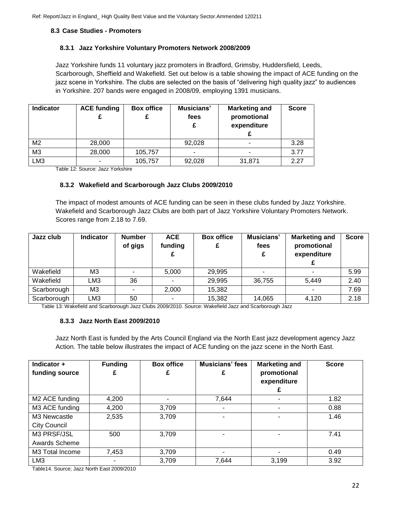### **8.3 Case Studies - Promoters**

### **8.3.1 Jazz Yorkshire Voluntary Promoters Network 2008/2009**

Jazz Yorkshire funds 11 voluntary jazz promoters in Bradford, Grimsby, Huddersfield, Leeds, Scarborough, Sheffield and Wakefield. Set out below is a table showing the impact of ACE funding on the jazz scene in Yorkshire. The clubs are selected on the basis of "delivering high quality jazz" to audiences in Yorkshire. 207 bands were engaged in 2008/09, employing 1391 musicians.

| <b>Indicator</b> | <b>ACE funding</b> | <b>Box office</b> | Musicians'<br>fees | <b>Marketing and</b><br>promotional<br>expenditure | <b>Score</b> |
|------------------|--------------------|-------------------|--------------------|----------------------------------------------------|--------------|
| M <sub>2</sub>   | 28,000             |                   | 92,028             |                                                    | 3.28         |
| M <sub>3</sub>   | 28,000             | 105,757           | ۰                  |                                                    | 3.77         |
| LM <sub>3</sub>  |                    | 105,757           | 92,028             | 31,871                                             | 2.27         |

Table 12: Source: Jazz Yorkshire

### **8.3.2 Wakefield and Scarborough Jazz Clubs 2009/2010**

The impact of modest amounts of ACE funding can be seen in these clubs funded by Jazz Yorkshire. Wakefield and Scarborough Jazz Clubs are both part of Jazz Yorkshire Voluntary Promoters Network. Scores range from 2.18 to 7.69.

| Jazz club   | <b>Indicator</b> | <b>Number</b><br>of gigs | <b>ACE</b><br>funding    | <b>Box office</b> | Musicians'<br>fees<br>£ | <b>Marketing and</b><br>promotional<br>expenditure | <b>Score</b> |
|-------------|------------------|--------------------------|--------------------------|-------------------|-------------------------|----------------------------------------------------|--------------|
| Wakefield   | M <sub>3</sub>   |                          | 5,000                    | 29,995            |                         |                                                    | 5.99         |
| Wakefield   | LM3              | 36                       |                          | 29,995            | 36,755                  | 5,449                                              | 2.40         |
| Scarborough | M <sub>3</sub>   |                          | 2,000                    | 15,382            |                         | $\blacksquare$                                     | 7.69         |
| Scarborough | LM3              | 50                       | $\overline{\phantom{a}}$ | 15,382            | 14,065                  | 4,120                                              | 2.18         |

Table 13: Wakefield and Scarborough Jazz Clubs 2009/2010. Source: Wakefield Jazz and Scarborough Jazz

### **8.3.3 Jazz North East 2009/2010**

Jazz North East is funded by the Arts Council England via the North East jazz development agency Jazz Action. The table below illustrates the impact of ACE funding on the jazz scene in the North East.

| Indicator $+$<br>funding source | <b>Funding</b> | <b>Box office</b> | <b>Musicians' fees</b><br>£ | <b>Marketing and</b><br>promotional<br>expenditure | <b>Score</b> |
|---------------------------------|----------------|-------------------|-----------------------------|----------------------------------------------------|--------------|
| M2 ACE funding                  | 4,200          |                   | 7,644                       |                                                    | 1.82         |
| M3 ACE funding                  | 4,200          | 3,709             |                             |                                                    | 0.88         |
| M3 Newcastle<br>City Council    | 2,535          | 3,709             |                             |                                                    | 1.46         |
| M3 PRSF/JSL<br>Awards Scheme    | 500            | 3,709             |                             |                                                    | 7.41         |
| M3 Total Income                 | 7,453          | 3,709             |                             |                                                    | 0.49         |
| LM <sub>3</sub>                 |                | 3,709             | 7,644                       | 3,199                                              | 3.92         |

Table14. Source; Jazz North East 2009/2010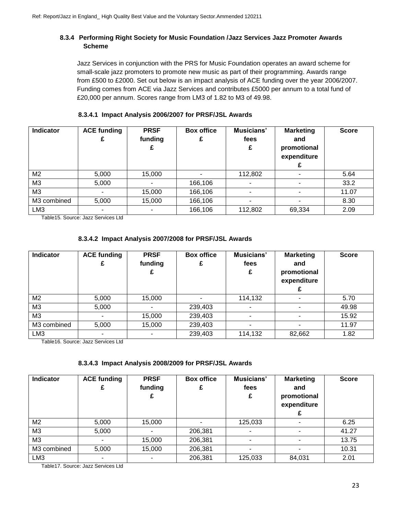# **8.3.4 Performing Right Society for Music Foundation /Jazz Services Jazz Promoter Awards Scheme**

Jazz Services in conjunction with the PRS for Music Foundation operates an award scheme for small-scale jazz promoters to promote new music as part of their programming. Awards range from £500 to £2000. Set out below is an impact analysis of ACE funding over the year 2006/2007. Funding comes from ACE via Jazz Services and contributes £5000 per annum to a total fund of £20,000 per annum. Scores range from LM3 of 1.82 to M3 of 49.98.

| Indicator       | <b>ACE funding</b> | <b>PRSF</b><br>funding<br>£ | <b>Box office</b> | Musicians'<br>fees<br>£ | <b>Marketing</b><br>and<br>promotional<br>expenditure | <b>Score</b> |
|-----------------|--------------------|-----------------------------|-------------------|-------------------------|-------------------------------------------------------|--------------|
| M2              | 5,000              | 15,000                      |                   | 112,802                 |                                                       | 5.64         |
| M3              | 5,000              |                             | 166,106           |                         |                                                       | 33.2         |
| MЗ              | ۰                  | 15,000                      | 166,106           | ۰                       | ٠                                                     | 11.07        |
| M3 combined     | 5,000              | 15,000                      | 166,106           |                         |                                                       | 8.30         |
| LM <sub>3</sub> |                    |                             | 166,106           | 112,802                 | 69,334                                                | 2.09         |

### **8.3.4.1 Impact Analysis 2006/2007 for PRSF/JSL Awards**

Table15. Source: Jazz Services Ltd

# **8.3.4.2 Impact Analysis 2007/2008 for PRSF/JSL Awards**

| <b>Indicator</b> | <b>ACE funding</b> | <b>PRSF</b><br>funding<br>£ | <b>Box office</b> | Musicians'<br>fees<br>£ | <b>Marketing</b><br>and<br>promotional<br>expenditure | <b>Score</b> |
|------------------|--------------------|-----------------------------|-------------------|-------------------------|-------------------------------------------------------|--------------|
| M2               | 5,000              | 15,000                      |                   | 114,132                 |                                                       | 5.70         |
| M3               | 5,000              |                             | 239,403           |                         |                                                       | 49.98        |
| M3               |                    | 15,000                      | 239,403           |                         |                                                       | 15.92        |
| M3 combined      | 5,000              | 15,000                      | 239,403           |                         |                                                       | 11.97        |
| LM <sub>3</sub>  |                    |                             | 239,403           | 114,132                 | 82,662                                                | 1.82         |

Table16. Source: Jazz Services Ltd

# **8.3.4.3 Impact Analysis 2008/2009 for PRSF/JSL Awards**

| Indicator       | <b>ACE funding</b> | <b>PRSF</b><br>funding<br>£ | <b>Box office</b> | Musicians'<br>fees<br>£  | <b>Marketing</b><br>and<br>promotional<br>expenditure | <b>Score</b> |
|-----------------|--------------------|-----------------------------|-------------------|--------------------------|-------------------------------------------------------|--------------|
| M <sub>2</sub>  | 5,000              | 15,000                      |                   | 125,033                  |                                                       | 6.25         |
| M <sub>3</sub>  | 5,000              |                             | 206,381           | $\overline{\phantom{0}}$ |                                                       | 41.27        |
| M <sub>3</sub>  |                    | 15,000                      | 206,381           |                          |                                                       | 13.75        |
| M3 combined     | 5,000              | 15,000                      | 206,381           |                          |                                                       | 10.31        |
| LM <sub>3</sub> |                    |                             | 206,381           | 125,033                  | 84,031                                                | 2.01         |

Table17. Source: Jazz Services Ltd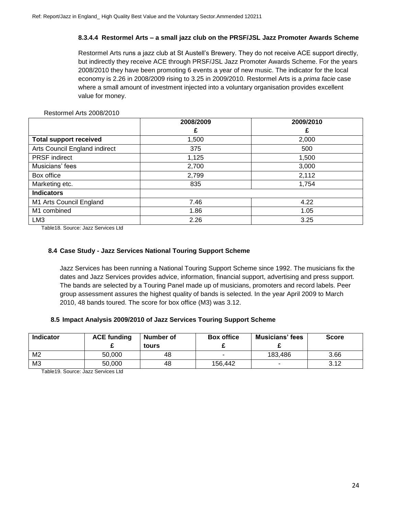### **8.3.4.4 Restormel Arts – a small jazz club on the PRSF/JSL Jazz Promoter Awards Scheme**

Restormel Arts runs a jazz club at St Austell's Brewery. They do not receive ACE support directly, but indirectly they receive ACE through PRSF/JSL Jazz Promoter Awards Scheme. For the years 2008/2010 they have been promoting 6 events a year of new music. The indicator for the local economy is 2.26 in 2008/2009 rising to 3.25 in 2009/2010. Restormel Arts is a *prima facie* case where a small amount of investment injected into a voluntary organisation provides excellent value for money.

### Restormel Arts 2008/2010

|                               | 2008/2009 | 2009/2010 |
|-------------------------------|-----------|-----------|
|                               | £         | £         |
| <b>Total support received</b> | 1,500     | 2,000     |
| Arts Council England indirect | 375       | 500       |
| <b>PRSF</b> indirect          | 1,125     | 1,500     |
| Musicians' fees               | 2,700     | 3,000     |
| Box office                    | 2,799     | 2,112     |
| Marketing etc.                | 835       | 1,754     |
| <b>Indicators</b>             |           |           |
| M1 Arts Council England       | 7.46      | 4.22      |
| M1 combined                   | 1.86      | 1.05      |
| LM <sub>3</sub>               | 2.26      | 3.25      |

Table18. Source: Jazz Services Ltd

### **8.4 Case Study - Jazz Services National Touring Support Scheme**

Jazz Services has been running a National Touring Support Scheme since 1992. The musicians fix the dates and Jazz Services provides advice, information, financial support, advertising and press support. The bands are selected by a Touring Panel made up of musicians, promoters and record labels. Peer group assessment assures the highest quality of bands is selected. In the year April 2009 to March 2010, 48 bands toured. The score for box office (M3) was 3.12.

### **8.5 Impact Analysis 2009/2010 of Jazz Services Touring Support Scheme**

| <b>Indicator</b> | <b>ACE funding</b> | Number of<br>tours | <b>Box office</b> | <b>Musicians' fees</b> | <b>Score</b> |
|------------------|--------------------|--------------------|-------------------|------------------------|--------------|
| M <sub>2</sub>   | 50,000             | 48                 |                   | 183.486                | 3.66         |
| M <sub>3</sub>   | 50,000             | 48                 | 156.442           |                        | 3.12         |

Table19. Source: Jazz Services Ltd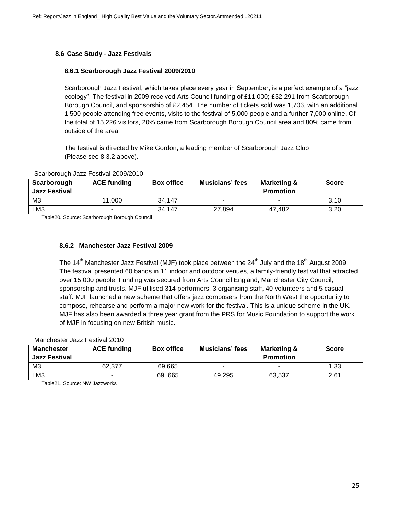### **8.6 Case Study - Jazz Festivals**

### **8.6.1 Scarborough Jazz Festival 2009/2010**

Scarborough Jazz Festival, which takes place every year in September, is a perfect example of a "jazz ecology". The festival in 2009 received Arts Council funding of £11,000; £32,291 from Scarborough Borough Council, and sponsorship of £2,454. The number of tickets sold was 1,706, with an additional 1,500 people attending free events, visits to the festival of 5,000 people and a further 7,000 online. Of the total of 15,226 visitors, 20% came from Scarborough Borough Council area and 80% came from outside of the area.

The festival is directed by Mike Gordon, a leading member of Scarborough Jazz Club (Please see 8.3.2 above).

| Scarborough<br>Jazz Festival | <b>ACE funding</b> | <b>Box office</b> | <b>Musicians' fees</b>   | Marketing &<br><b>Promotion</b> | <b>Score</b> |
|------------------------------|--------------------|-------------------|--------------------------|---------------------------------|--------------|
| M <sub>3</sub>               | 11.000             | 34.147            | $\overline{\phantom{a}}$ |                                 | 3.10         |
| LM3                          |                    | 34,147            | 27,894                   | 47.482                          | 3.20         |

#### Scarborough Jazz Festival 2009/2010

Table20. Source: Scarborough Borough Council

### **8.6.2 Manchester Jazz Festival 2009**

The 14<sup>th</sup> Manchester Jazz Festival (MJF) took place between the 24<sup>th</sup> July and the 18<sup>th</sup> August 2009. The festival presented 60 bands in 11 indoor and outdoor venues, a family-friendly festival that attracted over 15,000 people. Funding was secured from Arts Council England, Manchester City Council, sponsorship and trusts. MJF utilised 314 performers, 3 organising staff, 40 volunteers and 5 casual staff. MJF launched a new scheme that offers jazz composers from the North West the opportunity to compose, rehearse and perform a major new work for the festival. This is a unique scheme in the UK. MJF has also been awarded a three year grant from the PRS for Music Foundation to support the work of MJF in focusing on new British music.

### Manchester Jazz Festival 2010

| <b>Manchester</b><br><b>Jazz Festival</b> | <b>ACE funding</b> | <b>Box office</b> | <b>Musicians' fees</b> | <b>Marketing &amp;</b><br><b>Promotion</b> | <b>Score</b> |
|-------------------------------------------|--------------------|-------------------|------------------------|--------------------------------------------|--------------|
| M <sub>3</sub>                            | 62.377             | 69.665            |                        | -                                          | 1.33         |
| LM3                                       |                    | 69, 665           | 49,295                 | 63,537                                     | 2.61         |

Table21. Source: NW Jazzworks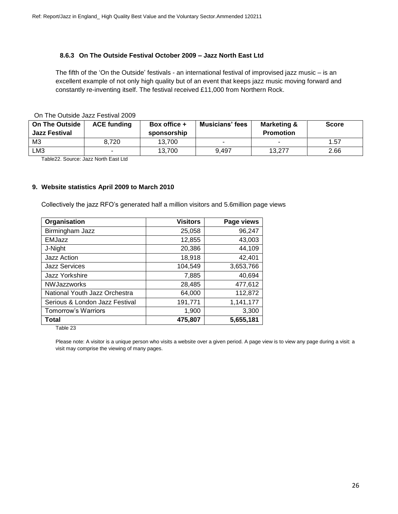# **8.6.3 On The Outside Festival October 2009 – Jazz North East Ltd**

The fifth of the 'On the Outside' festivals - an international festival of improvised jazz music – is an excellent example of not only high quality but of an event that keeps jazz music moving forward and constantly re-inventing itself. The festival received £11,000 from Northern Rock.

On The Outside Jazz Festival 2009

| <b>On The Outside</b><br><b>Jazz Festival</b> | <b>ACE funding</b> | Box office +<br>sponsorship | <b>Musicians' fees</b> | Marketing &<br><b>Promotion</b> | <b>Score</b> |
|-----------------------------------------------|--------------------|-----------------------------|------------------------|---------------------------------|--------------|
| M <sub>3</sub>                                | 8.720              | 13,700                      |                        |                                 | 1.57         |
| ∟МЗ                                           |                    | 13.700                      | 9.497                  | 13.277                          | 2.66         |

Table22. Source: Jazz North East Ltd

### **9. Website statistics April 2009 to March 2010**

Collectively the jazz RFO's generated half a million visitors and 5.6million page views

| Organisation                   | <b>Visitors</b> | Page views |
|--------------------------------|-----------------|------------|
| Birmingham Jazz                | 25,058          | 96,247     |
| <b>EMJazz</b>                  | 12,855          | 43,003     |
| J-Night                        | 20,386          | 44,109     |
| Jazz Action                    | 18,918          | 42,401     |
| <b>Jazz Services</b>           | 104,549         | 3,653,766  |
| Jazz Yorkshire                 | 7,885           | 40,694     |
| <b>NWJazzworks</b>             | 28,485          | 477,612    |
| National Youth Jazz Orchestra  | 64,000          | 112,872    |
| Serious & London Jazz Festival | 191,771         | 1,141,177  |
| <b>Tomorrow's Warriors</b>     | 1,900           | 3,300      |
| <b>Total</b>                   | 475,807         | 5,655,181  |

Table 23

Please note: A visitor is a unique person who visits a website over a given period. A page view is to view any page during a visit: a visit may comprise the viewing of many pages.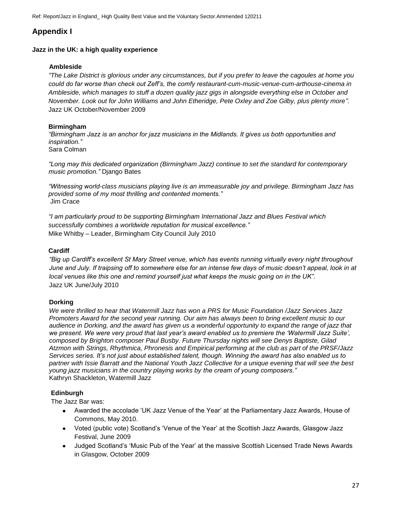Ref: Report/Jazz in England\_ High Quality Best Value and the Voluntary Sector.Ammended 120211

# **Appendix I**

### **Jazz in the UK: a high quality experience**

### **Ambleside**

*"The Lake District is glorious under any circumstances, but if you prefer to leave the cagoules at home you could do far worse than check out Zeff's, the comfy restaurant-cum-music-venue-cum-arthouse-cinema in Ambleside, which manages to stuff a dozen quality jazz gigs in alongside everything else in October and November. Look out for John Williams and John Etheridge, Pete Oxley and Zoe Gilby, plus plenty more".* Jazz UK October/November 2009

### **Birmingham**

*"Birmingham Jazz is an anchor for jazz musicians in the Midlands. It gives us both opportunities and inspiration."*  Sara Colman

*"Long may this dedicated organization (Birmingham Jazz) continue to set the standard for contemporary music promotion."* Django Bates

*"Witnessing world-class musicians playing live is an immeasurable joy and privilege. Birmingham Jazz has provided some of my most thrilling and contented moments."* Jim Crace

*"I am particularly proud to be supporting Birmingham International Jazz and Blues Festival which successfully combines a worldwide reputation for musical excellence."*  Mike Whitby – Leader, Birmingham City Council July 2010

# **Cardiff**

*"Big up Cardiff's excellent St Mary Street venue, which has events running virtually every night throughout June and July. If traipsing off to somewhere else for an intense few days of music doesn't appeal, look in at local venues like this one and remind yourself just what keeps the music going on in the UK".*  Jazz UK June/July 2010

# **Dorking**

*We were thrilled to hear that Watermill Jazz has won a PRS for Music Foundation /Jazz Services Jazz Promoters Award for the second year running. Our aim has always been to bring excellent music to our audience in Dorking, and the award has given us a wonderful opportunity to expand the range of jazz that we present. We were very proud that last year's award enabled us to premiere the 'Watermill Jazz Suite', composed by Brighton composer Paul Busby. Future Thursday nights will see Denys Baptiste, Gilad Atzmon with Strings, Rhythmica, Phronesis and Empirical performing at the club as part of the PRSF/Jazz Services series. It's not just about established talent, though. Winning the award has also enabled us to partner with Issie Barratt and the National Youth Jazz Collective for a unique evening that will see the best young jazz musicians in the country playing works by the cream of young composers."*  Kathryn Shackleton, Watermill Jazz

# **Edinburgh**

The Jazz Bar was:

- Awarded the accolade 'UK Jazz Venue of the Year' at the Parliamentary Jazz Awards, House of Commons, May 2010.
- Voted (public vote) Scotland's 'Venue of the Year' at the Scottish Jazz Awards, Glasgow Jazz Festival, June 2009
- Judged Scotland's 'Music Pub of the Year' at the massive Scottish Licensed Trade News Awards in Glasgow, October 2009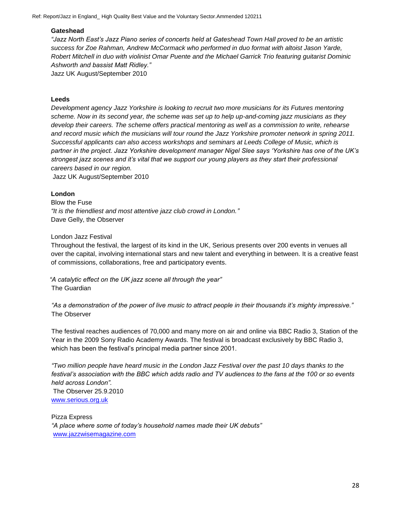Ref: Report/Jazz in England\_ High Quality Best Value and the Voluntary Sector.Ammended 120211

### **Gateshead**

*"Jazz North East's Jazz Piano series of concerts held at Gateshead Town Hall proved to be an artistic success for Zoe Rahman, Andrew McCormack who performed in duo format with altoist Jason Yarde, Robert Mitchell in duo with violinist Omar Puente and the Michael Garrick Trio featuring guitarist Dominic Ashworth and bassist Matt Ridley."* 

Jazz UK August/September 2010

### **Leeds**

*Development agency Jazz Yorkshire is looking to recruit two more musicians for its Futures mentoring scheme. Now in its second year, the scheme was set up to help up-and-coming jazz musicians as they develop their careers. The scheme offers practical mentoring as well as a commission to write, rehearse and record music which the musicians will tour round the Jazz Yorkshire promoter network in spring 2011. Successful applicants can also access workshops and seminars at Leeds College of Music, which is partner in the project. Jazz Yorkshire development manager Nigel Slee says 'Yorkshire has one of the UK's strongest jazz scenes and it's vital that we support our young players as they start their professional careers based in our region.*

Jazz UK August/September 2010

### **London**

Blow the Fuse *"It is the friendliest and most attentive jazz club crowd in London."* Dave Gelly, the Observer

### London Jazz Festival

Throughout the festival, the largest of its kind in the UK, Serious presents over 200 events in venues all over the capital, involving international stars and new talent and everything in between. It is a creative feast of commissions, collaborations, free and participatory events.

*"A catalytic effect on the UK jazz scene all through the year"*  The Guardian

*"As a demonstration of the power of live music to attract people in their thousands it's mighty impressive."*  The Observer

The festival reaches audiences of 70,000 and many more on air and online via BBC Radio 3, Station of the Year in the 2009 Sony Radio Academy Awards. The festival is broadcast exclusively by BBC Radio 3, which has been the festival's principal media partner since 2001.

*"Two million people have heard music in the London Jazz Festival over the past 10 days thanks to the festival's association with the BBC which adds radio and TV audiences to the fans at the 100 or so events held across London".*

The Observer 25.9.2010 [www.serious.org.uk](http://www.serious.org.uk/)

Pizza Express *"A place where some of today's household names made their UK debuts"* [www.jazzwisemagazine.com](http://www.jazzwisemagazine.com/)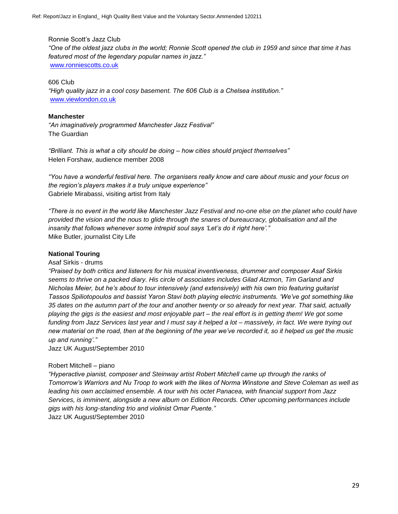Ronnie Scott's Jazz Club

*"One of the oldest jazz clubs in the world; Ronnie Scott opened the club in 1959 and since that time it has featured most of the legendary popular names in jazz."* [www.ronniescotts.co.uk](http://www.ronniescotts.co.uk/)

### 606 Club

*"High quality jazz in a cool cosy basement. The 606 Club is a Chelsea institution."* [www.viewlondon.co.uk](http://www.viewlondon.co.uk/)

### **Manchester**

*"An imaginatively programmed Manchester Jazz Festival"*  The Guardian

*"Brilliant. This is what a city should be doing – how cities should project themselves"*  Helen Forshaw, audience member 2008

*"You have a wonderful festival here. The organisers really know and care about music and your focus on the region's players makes it a truly unique experience"*  Gabriele Mirabassi, visiting artist from Italy

*"There is no event in the world like Manchester Jazz Festival and no-one else on the planet who could have provided the vision and the nous to glide through the snares of bureaucracy, globalisation and all the insanity that follows whenever some intrepid soul says 'Let's do it right here'."*  Mike Butler, journalist City Life

### **National Touring**

### Asaf Sirkis - drums

*"Praised by both critics and listeners for his musical inventiveness, drummer and composer Asaf Sirkis seems to thrive on a packed diary. His circle of associates includes Gilad Atzmon, Tim Garland and Nicholas Meier, but he's about to tour intensively (and extensively) with his own trio featuring guitarist Tassos Spiliotopoulos and bassist Yaron Stavi both playing electric instruments. 'We've got something like 35 dates on the autumn part of the tour and another twenty or so already for next year. That said, actually playing the gigs is the easiest and most enjoyable part – the real effort is in getting them! We got some funding from Jazz Services last year and I must say it helped a lot – massively, in fact. We were trying out new material on the road, then at the beginning of the year we've recorded it, so it helped us get the music up and running'."* 

Jazz UK August/September 2010

### Robert Mitchell – piano

*"Hyperactive pianist, composer and Steinway artist Robert Mitchell came up through the ranks of Tomorrow's Warriors and Nu Troop to work with the likes of Norma Winstone and Steve Coleman as well as leading his own acclaimed ensemble. A tour with his octet Panacea, with financial support from Jazz Services, is imminent, alongside a new album on Edition Records. Other upcoming performances include gigs with his long-standing trio and violinist Omar Puente."*  Jazz UK August/September 2010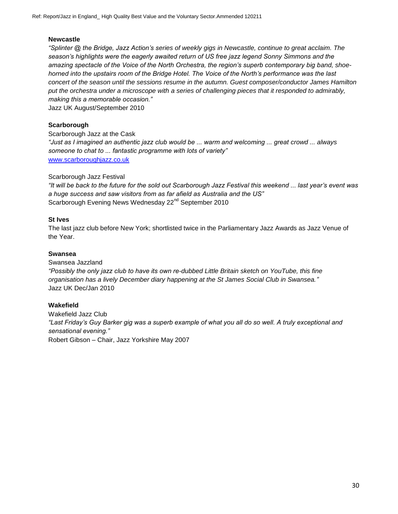### **Newcastle**

*"Splinter @ the Bridge, Jazz Action's series of weekly gigs in Newcastle, continue to great acclaim. The season's highlights were the eagerly awaited return of US free jazz legend Sonny Simmons and the amazing spectacle of the Voice of the North Orchestra, the region's superb contemporary big band, shoehorned into the upstairs room of the Bridge Hotel. The Voice of the North's performance was the last concert of the season until the sessions resume in the autumn. Guest composer/conductor James Hamilton put the orchestra under a microscope with a series of challenging pieces that it responded to admirably, making this a memorable occasion."* 

Jazz UK August/September 2010

### **Scarborough**

Scarborough Jazz at the Cask *"Just as I imagined an authentic jazz club would be ... warm and welcoming ... great crowd ... always someone to chat to ... fantastic programme with lots of variety"*  [www.scarboroughjazz.co.uk](http://www.scarboroughjazz.co.uk/)

### Scarborough Jazz Festival

*"It will be back to the future for the sold out Scarborough Jazz Festival this weekend ... last year's event was a huge success and saw visitors from as far afield as Australia and the US"*  Scarborough Evening News Wednesday 22<sup>nd</sup> September 2010

### **St Ives**

The last jazz club before New York; shortlisted twice in the Parliamentary Jazz Awards as Jazz Venue of the Year.

### **Swansea**

Swansea Jazzland *"Possibly the only jazz club to have its own re-dubbed Little Britain sketch on YouTube, this fine organisation has a lively December diary happening at the St James Social Club in Swansea."*  Jazz UK Dec/Jan 2010

### **Wakefield**

Wakefield Jazz Club *"Last Friday's Guy Barker gig was a superb example of what you all do so well. A truly exceptional and sensational evening."*  Robert Gibson – Chair, Jazz Yorkshire May 2007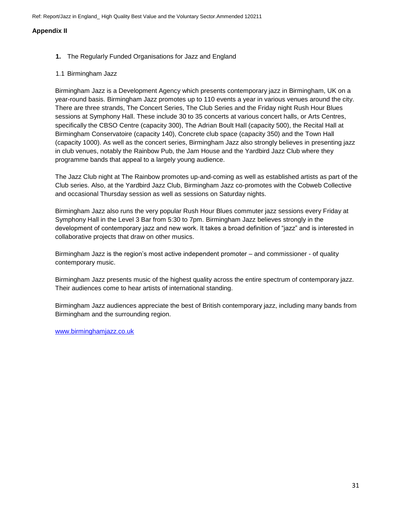Ref: Report/Jazz in England\_ High Quality Best Value and the Voluntary Sector.Ammended 120211

### **Appendix II**

- **1.** The Regularly Funded Organisations for Jazz and England
- 1.1 Birmingham Jazz

Birmingham Jazz is a Development Agency which presents contemporary jazz in Birmingham, UK on a year-round basis. Birmingham Jazz promotes up to 110 events a year in various venues around the city. There are three strands, The Concert Series, The Club Series and the Friday night Rush Hour Blues sessions at Symphony Hall. These include 30 to 35 concerts at various concert halls, or Arts Centres, specifically the CBSO Centre (capacity 300), The Adrian Boult Hall (capacity 500), the Recital Hall at Birmingham Conservatoire (capacity 140), Concrete club space (capacity 350) and the Town Hall (capacity 1000). As well as the concert series, Birmingham Jazz also strongly believes in presenting jazz in club venues, notably the Rainbow Pub, the Jam House and the Yardbird Jazz Club where they programme bands that appeal to a largely young audience.

The Jazz Club night at The Rainbow promotes up-and-coming as well as established artists as part of the Club series. Also, at the Yardbird Jazz Club, Birmingham Jazz co-promotes with the Cobweb Collective and occasional Thursday session as well as sessions on Saturday nights.

Birmingham Jazz also runs the very popular Rush Hour Blues commuter jazz sessions every Friday at Symphony Hall in the Level 3 Bar from 5:30 to 7pm. Birmingham Jazz believes strongly in the development of contemporary jazz and new work. It takes a broad definition of "jazz" and is interested in collaborative projects that draw on other musics.

Birmingham Jazz is the region's most active independent promoter – and commissioner - of quality contemporary music.

Birmingham Jazz presents music of the highest quality across the entire spectrum of contemporary jazz. Their audiences come to hear artists of international standing.

Birmingham Jazz audiences appreciate the best of British contemporary jazz, including many bands from Birmingham and the surrounding region.

[www.birminghamjazz.co.uk](http://www.birminghamjazz.co.uk/)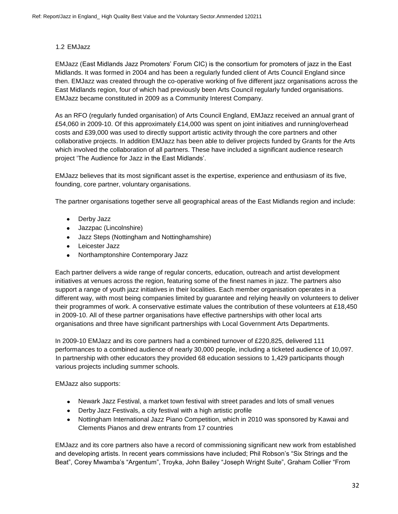# 1.2 EMJazz

EMJazz (East Midlands Jazz Promoters' Forum CIC) is the consortium for promoters of jazz in the East Midlands. It was formed in 2004 and has been a regularly funded client of Arts Council England since then. EMJazz was created through the co-operative working of five different jazz organisations across the East Midlands region, four of which had previously been Arts Council regularly funded organisations. EMJazz became constituted in 2009 as a Community Interest Company.

As an RFO (regularly funded organisation) of Arts Council England, EMJazz received an annual grant of £54,060 in 2009-10. Of this approximately £14,000 was spent on joint initiatives and running/overhead costs and £39,000 was used to directly support artistic activity through the core partners and other collaborative projects. In addition EMJazz has been able to deliver projects funded by Grants for the Arts which involved the collaboration of all partners. These have included a significant audience research project 'The Audience for Jazz in the East Midlands'.

EMJazz believes that its most significant asset is the expertise, experience and enthusiasm of its five, founding, core partner, voluntary organisations.

The partner organisations together serve all geographical areas of the East Midlands region and include:

- Derby Jazz
- Jazzpac (Lincolnshire)
- Jazz Steps (Nottingham and Nottinghamshire)  $\bullet$
- Leicester Jazz
- Northamptonshire Contemporary Jazz

Each partner delivers a wide range of regular concerts, education, outreach and artist development initiatives at venues across the region, featuring some of the finest names in jazz. The partners also support a range of youth jazz initiatives in their localities. Each member organisation operates in a different way, with most being companies limited by guarantee and relying heavily on volunteers to deliver their programmes of work. A conservative estimate values the contribution of these volunteers at £18,450 in 2009-10. All of these partner organisations have effective partnerships with other local arts organisations and three have significant partnerships with Local Government Arts Departments.

In 2009-10 EMJazz and its core partners had a combined turnover of £220,825, delivered 111 performances to a combined audience of nearly 30,000 people, including a ticketed audience of 10,097. In partnership with other educators they provided 68 education sessions to 1,429 participants though various projects including summer schools.

EMJazz also supports:

- Newark Jazz Festival, a market town festival with street parades and lots of small venues
- Derby Jazz Festivals, a city festival with a high artistic profile
- Nottingham International Jazz Piano Competition, which in 2010 was sponsored by Kawai and Clements Pianos and drew entrants from 17 countries

EMJazz and its core partners also have a record of commissioning significant new work from established and developing artists. In recent years commissions have included; Phil Robson's "Six Strings and the Beat", Corey Mwamba's "Argentum", Troyka, John Bailey "Joseph Wright Suite", Graham Collier "From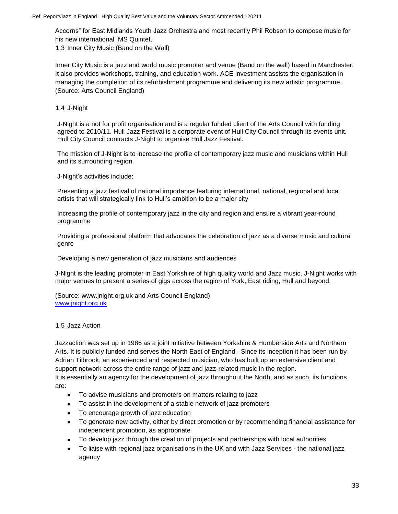Accorns" for East Midlands Youth Jazz Orchestra and most recently Phil Robson to compose music for his new international IMS Quintet.

1.3 Inner City Music (Band on the Wall)

Inner City Music is a jazz and world music promoter and venue (Band on the wall) based in Manchester. It also provides workshops, training, and education work. ACE investment assists the organisation in managing the completion of its refurbishment programme and delivering its new artistic programme. (Source: Arts Council England)

1.4 J-Night

J-Night is a not for profit organisation and is a regular funded client of the Arts Council with funding agreed to 2010/11. Hull Jazz Festival is a corporate event of Hull City Council through its events unit. Hull City Council contracts J-Night to organise Hull Jazz Festival.

The mission of J-Night is to increase the profile of contemporary jazz music and musicians within Hull and its surrounding region.

J-Night's activities include:

Presenting a jazz festival of national importance featuring international, national, regional and local artists that will strategically link to Hull's ambition to be a major city

Increasing the profile of contemporary jazz in the city and region and ensure a vibrant year-round programme

Providing a professional platform that advocates the celebration of jazz as a diverse music and cultural genre

Developing a new generation of jazz musicians and audiences

J-Night is the leading promoter in East Yorkshire of high quality world and Jazz music. J-Night works with major venues to present a series of gigs across the region of York, East riding, Hull and beyond.

(Source: www.jnight.org.uk and Arts Council England) [www.jnight.org.uk](http://www.jnight.org.uk/)

### 1.5 Jazz Action

Jazzaction was set up in 1986 as a joint initiative between Yorkshire & Humberside Arts and Northern Arts. It is publicly funded and serves the North East of England. Since its inception it has been run by Adrian Tilbrook, an experienced and respected musician, who has built up an extensive client and support network across the entire range of jazz and jazz-related music in the region.

It is essentially an agency for the development of jazz throughout the North, and as such, its functions are:

- To advise musicians and promoters on matters relating to jazz  $\bullet$
- To assist in the development of a stable network of jazz promoters
- To encourage growth of jazz education
- To generate new activity, either by direct promotion or by recommending financial assistance for  $\bullet$ independent promotion, as appropriate
- To develop jazz through the creation of projects and partnerships with local authorities
- $\bullet$ To liaise with regional jazz organisations in the UK and with Jazz Services - the national jazz agency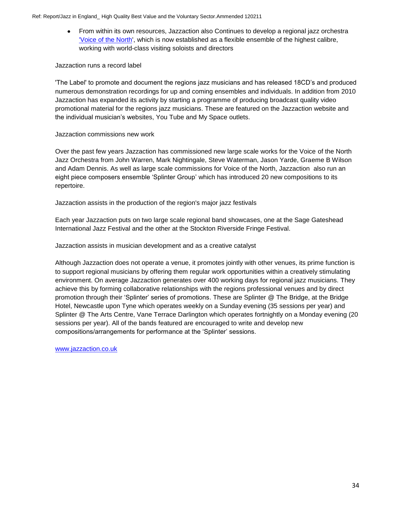$\bullet$ From within its own resources, Jazzaction also Continues to develop a regional jazz orchestra ['Voice of the North',](http://jazzaction.co.uk/Audioclips/03%20-%20Park%20Bench%20Story.WMA) which is now established as a flexible ensemble of the highest calibre, working with world-class visiting soloists and directors

### Jazzaction runs a record label

'The Label' to promote and document the regions jazz musicians and has released 18CD's and produced numerous demonstration recordings for up and coming ensembles and individuals. In addition from 2010 Jazzaction has expanded its activity by starting a programme of producing broadcast quality video promotional material for the regions jazz musicians. These are featured on the Jazzaction website and the individual musician's websites, You Tube and My Space outlets.

### Jazzaction commissions new work

Over the past few years Jazzaction has commissioned new large scale works for the Voice of the North Jazz Orchestra from John Warren, Mark Nightingale, Steve Waterman, Jason Yarde, Graeme B Wilson and Adam Dennis. As well as large scale commissions for Voice of the North, Jazzaction also run an eight piece composers ensemble 'Splinter Group' which has introduced 20 new compositions to its repertoire.

Jazzaction assists in the production of the region's major jazz festivals

Each year Jazzaction puts on two large scale regional band showcases, one at the Sage Gateshead International Jazz Festival and the other at the Stockton Riverside Fringe Festival.

Jazzaction assists in musician development and as a creative catalyst

Although Jazzaction does not operate a venue, it promotes jointly with other venues, its prime function is to support regional musicians by offering them regular work opportunities within a creatively stimulating environment. On average Jazzaction generates over 400 working days for regional jazz musicians. They achieve this by forming collaborative relationships with the regions professional venues and by direct promotion through their 'Splinter' series of promotions. These are Splinter @ The Bridge, at the Bridge Hotel, Newcastle upon Tyne which operates weekly on a Sunday evening (35 sessions per year) and Splinter @ The Arts Centre, Vane Terrace Darlington which operates fortnightly on a Monday evening (20 sessions per year). All of the bands featured are encouraged to write and develop new compositions/arrangements for performance at the 'Splinter' sessions.

[www.jazzaction.co.uk](http://www.jazzaction.co.uk/)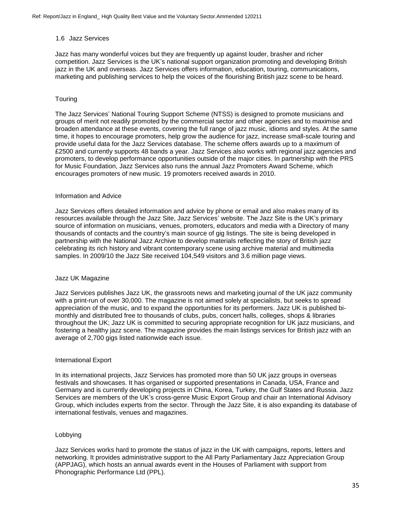### 1.6 Jazz Services

Jazz has many wonderful voices but they are frequently up against louder, brasher and richer competition. Jazz Services is the UK's national support organization promoting and developing British jazz in the UK and overseas. Jazz Services offers information, education, touring, communications, marketing and publishing services to help the voices of the flourishing British jazz scene to be heard.

### **Touring**

The Jazz Services' National Touring Support Scheme (NTSS) is designed to promote musicians and groups of merit not readily promoted by the commercial sector and other agencies and to maximise and broaden attendance at these events, covering the full range of jazz music, idioms and styles. At the same time, it hopes to encourage promoters, help grow the audience for jazz, increase small-scale touring and provide useful data for the Jazz Services database. The scheme offers awards up to a maximum of £2500 and currently supports 48 bands a year. Jazz Services also works with regional jazz agencies and promoters, to develop performance opportunities outside of the major cities. In partnership with the PRS for Music Foundation, Jazz Services also runs the annual Jazz Promoters Award Scheme, which encourages promoters of new music. 19 promoters received awards in 2010.

#### Information and Advice

Jazz Services offers detailed information and advice by phone or email and also makes many of its resources available through the Jazz Site, Jazz Services' website. The Jazz Site is the UK's primary source of information on musicians, venues, promoters, educators and media with a Directory of many thousands of contacts and the country's main source of gig listings. The site is being developed in partnership with the National Jazz Archive to develop materials reflecting the story of British jazz celebrating its rich history and vibrant contemporary scene using archive material and multimedia samples. In 2009/10 the Jazz Site received 104,549 visitors and 3.6 million page views.

#### Jazz UK Magazine

Jazz Services publishes Jazz UK, the grassroots news and marketing journal of the UK jazz community with a print-run of over 30,000. The magazine is not aimed solely at specialists, but seeks to spread appreciation of the music, and to expand the opportunities for its performers. Jazz UK is published bimonthly and distributed free to thousands of clubs, pubs, concert halls, colleges, shops & libraries throughout the UK; Jazz UK is committed to securing appropriate recognition for UK jazz musicians, and fostering a healthy jazz scene. The magazine provides the main listings services for British jazz with an average of 2,700 gigs listed nationwide each issue.

#### International Export

In its international projects, Jazz Services has promoted more than 50 UK jazz groups in overseas festivals and showcases. It has organised or supported presentations in Canada, USA, France and Germany and is currently developing projects in China, Korea, Turkey, the Gulf States and Russia. Jazz Services are members of the UK's cross-genre Music Export Group and chair an International Advisory Group, which includes experts from the sector. Through the Jazz Site, it is also expanding its database of international festivals, venues and magazines.

### Lobbying

Jazz Services works hard to promote the status of jazz in the UK with campaigns, reports, letters and networking. It provides administrative support to the All Party Parliamentary Jazz Appreciation Group (APPJAG), which hosts an annual awards event in the Houses of Parliament with support from Phonographic Performance Ltd (PPL).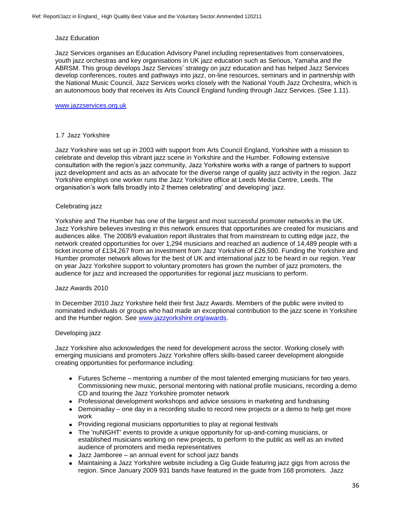#### Jazz Education

Jazz Services organises an Education Advisory Panel including representatives from conservatoires, youth jazz orchestras and key organisations in UK jazz education such as Serious, Yamaha and the ABRSM. This group develops Jazz Services' strategy on jazz education and has helped Jazz Services develop conferences, routes and pathways into jazz, on-line resources, seminars and in partnership with the National Music Council, Jazz Services works closely with the National Youth Jazz Orchestra, which is an autonomous body that receives its Arts Council England funding through Jazz Services. (See 1.11).

### [www.jazzservices.org.uk](http://www.jazzservices.org.uk/)

#### 1.7 Jazz Yorkshire

Jazz Yorkshire was set up in 2003 with support from Arts Council England, Yorkshire with a mission to celebrate and develop this vibrant jazz scene in Yorkshire and the Humber. Following extensive consultation with the region's jazz community, Jazz Yorkshire works with a range of partners to support jazz development and acts as an advocate for the diverse range of quality jazz activity in the region. Jazz Yorkshire employs one worker runs the Jazz Yorkshire office at Leeds Media Centre, Leeds. The organisation's work falls broadly into 2 themes celebrating' and developing' jazz.

#### Celebrating jazz

Yorkshire and The Humber has one of the largest and most successful promoter networks in the UK. Jazz Yorkshire believes investing in this network ensures that opportunities are created for musicians and audiences alike. The 2008/9 evaluation report illustrates that from mainstream to cutting edge jazz, the network created opportunities for over 1,294 musicians and reached an audience of 14,489 people with a ticket income of £134,267 from an investment from Jazz Yorkshire of £26,500. Funding the Yorkshire and Humber promoter network allows for the best of UK and international jazz to be heard in our region. Year on year Jazz Yorkshire support to voluntary promoters has grown the number of jazz promoters, the audience for jazz and increased the opportunities for regional jazz musicians to perform.

#### Jazz Awards 2010

In December 2010 Jazz Yorkshire held their first Jazz Awards. Members of the public were invited to nominated individuals or groups who had made an exceptional contribution to the jazz scene in Yorkshire and the Humber region. See [www.jazzyorkshire.org/awards.](http://www.jazzyorkshire.org/awards)

#### Developing jazz

Jazz Yorkshire also acknowledges the need for development across the sector. Working closely with emerging musicians and promoters Jazz Yorkshire offers skills-based career development alongside creating opportunities for performance including:

- Futures Scheme mentoring a number of the most talented emerging musicians for two years. Commissioning new music, personal mentoring with national profile musicians, recording a demo CD and touring the Jazz Yorkshire promoter network
- Professional development workshops and advice sessions in marketing and fundraising
- Demoinaday one day in a recording studio to record new projects or a demo to help get more work
- Providing regional musicians opportunities to play at regional festivals
- The 'nuNIGHT' events to provide a unique opportunity for up-and-coming musicians, or established musicians working on new projects, to perform to the public as well as an invited audience of promoters and media representatives
- Jazz Jamboree an annual event for school jazz bands
- Maintaining a Jazz Yorkshire website including a Gig Guide featuring jazz gigs from across the region. Since January 2009 931 bands have featured in the guide from 168 promoters. Jazz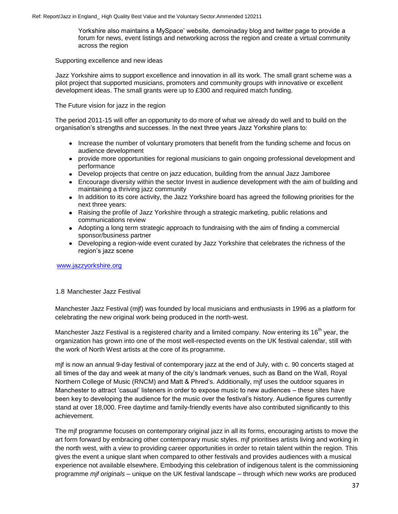Yorkshire also maintains a MySpace' website, demoinaday blog and twitter page to provide a forum for news, event listings and networking across the region and create a virtual community across the region

### Supporting excellence and new ideas

Jazz Yorkshire aims to support excellence and innovation in all its work. The small grant scheme was a pilot project that supported musicians, promoters and community groups with innovative or excellent development ideas. The small grants were up to £300 and required match funding.

The Future vision for jazz in the region

The period 2011-15 will offer an opportunity to do more of what we already do well and to build on the organisation's strengths and successes. In the next three years Jazz Yorkshire plans to:

- Increase the number of voluntary promoters that benefit from the funding scheme and focus on audience development
- provide more opportunities for regional musicians to gain ongoing professional development and performance
- Develop projects that centre on jazz education, building from the annual Jazz Jamboree
- Encourage diversity within the sector Invest in audience development with the aim of building and maintaining a thriving jazz community
- In addition to its core activity, the Jazz Yorkshire board has agreed the following priorities for the next three years:
- Raising the profile of Jazz Yorkshire through a strategic marketing, public relations and communications review
- Adopting a long term strategic approach to fundraising with the aim of finding a commercial sponsor/business partner
- Developing a region-wide event curated by Jazz Yorkshire that celebrates the richness of the region's jazz scene

[www.jazzyorkshire.org](http://www.jazzyorkshire.org/)

### 1.8 Manchester Jazz Festival

Manchester Jazz Festival (mjf) was founded by local musicians and enthusiasts in 1996 as a platform for celebrating the new original work being produced in the north-west.

Manchester Jazz Festival is a registered charity and a limited company. Now entering its 16<sup>th</sup> year, the organization has grown into one of the most well-respected events on the UK festival calendar, still with the work of North West artists at the core of its programme.

mjf is now an annual 9-day festival of contemporary jazz at the end of July, with c. 90 concerts staged at all times of the day and week at many of the city's landmark venues, such as Band on the Wall, Royal Northern College of Music (RNCM) and Matt & Phred's. Additionally, mjf uses the outdoor squares in Manchester to attract 'casual' listeners in order to expose music to new audiences – these sites have been key to developing the audience for the music over the festival's history. Audience figures currently stand at over 18,000. Free daytime and family-friendly events have also contributed significantly to this achievement.

The mjf programme focuses on contemporary original jazz in all its forms, encouraging artists to move the art form forward by embracing other contemporary music styles. mjf prioritises artists living and working in the north west, with a view to providing career opportunities in order to retain talent within the region. This gives the event a unique slant when compared to other festivals and provides audiences with a musical experience not available elsewhere. Embodying this celebration of indigenous talent is the commissioning programme *mjf originals* – unique on the UK festival landscape – through which new works are produced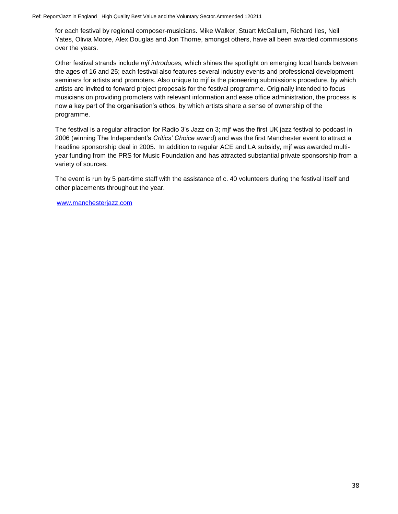for each festival by regional composer-musicians. Mike Walker, Stuart McCallum, Richard Iles, Neil Yates, Olivia Moore, Alex Douglas and Jon Thorne, amongst others, have all been awarded commissions over the years.

Other festival strands include *mjf introduces,* which shines the spotlight on emerging local bands between the ages of 16 and 25; each festival also features several industry events and professional development seminars for artists and promoters. Also unique to mjf is the pioneering submissions procedure, by which artists are invited to forward project proposals for the festival programme. Originally intended to focus musicians on providing promoters with relevant information and ease office administration, the process is now a key part of the organisation's ethos, by which artists share a sense of ownership of the programme.

The festival is a regular attraction for Radio 3's Jazz on 3; mjf was the first UK jazz festival to podcast in 2006 (winning The Independent's *Critics' Choice* award) and was the first Manchester event to attract a headline sponsorship deal in 2005. In addition to regular ACE and LA subsidy, mjf was awarded multiyear funding from the PRS for Music Foundation and has attracted substantial private sponsorship from a variety of sources.

The event is run by 5 part-time staff with the assistance of c. 40 volunteers during the festival itself and other placements throughout the year.

[www.manchesterjazz.com](http://www.manchesterjazz.com/)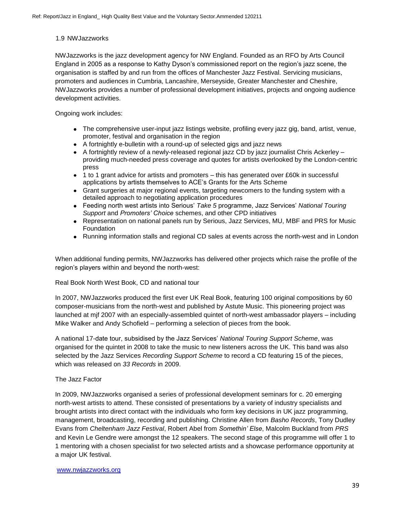### 1.9 NWJazzworks

NWJazzworks is the jazz development agency for NW England. Founded as an RFO by Arts Council England in 2005 as a response to Kathy Dyson's commissioned report on the region's jazz scene, the organisation is staffed by and run from the offices of Manchester Jazz Festival. Servicing musicians, promoters and audiences in Cumbria, Lancashire, Merseyside, Greater Manchester and Cheshire, NWJazzworks provides a number of professional development initiatives, projects and ongoing audience development activities.

Ongoing work includes:

- The comprehensive user-input jazz listings website, profiling every jazz gig, band, artist, venue, promoter, festival and organisation in the region
- A fortnightly e-bulletin with a round-up of selected gigs and jazz news
- A fortnightly review of a newly-released regional jazz CD by jazz journalist Chris Ackerley providing much-needed press coverage and quotes for artists overlooked by the London-centric press
- 1 to 1 grant advice for artists and promoters this has generated over £60k in successful applications by artists themselves to ACE's Grants for the Arts Scheme
- Grant surgeries at major regional events, targeting newcomers to the funding system with a  $\bullet$ detailed approach to negotiating application procedures
- Feeding north west artists into Serious' *Take 5* programme, Jazz Services' *National Touring*   $\bullet$ *Support* and *Promoters' Choice* schemes, and other CPD initiatives
- Representation on national panels run by Serious, Jazz Services, MU, MBF and PRS for Music Foundation
- Running information stalls and regional CD sales at events across the north-west and in London

When additional funding permits, NWJazzworks has delivered other projects which raise the profile of the region's players within and beyond the north-west:

Real Book North West Book, CD and national tour

In 2007, NWJazzworks produced the first ever UK Real Book, featuring 100 original compositions by 60 composer-musicians from the north-west and published by Astute Music. This pioneering project was launched at mjf 2007 with an especially-assembled quintet of north-west ambassador players – including Mike Walker and Andy Schofield – performing a selection of pieces from the book.

A national 17-date tour, subsidised by the Jazz Services' *National Touring Support Scheme*, was organised for the quintet in 2008 to take the music to new listeners across the UK. This band was also selected by the Jazz Services *Recording Support Scheme* to record a CD featuring 15 of the pieces, which was released on *33 Records* in 2009.

### The Jazz Factor

In 2009, NWJazzworks organised a series of professional development seminars for c. 20 emerging north-west artists to attend. These consisted of presentations by a variety of industry specialists and brought artists into direct contact with the individuals who form key decisions in UK jazz programming, management, broadcasting, recording and publishing. Christine Allen from *Basho Records*, Tony Dudley Evans from *Cheltenham Jazz Festival*, Robert Abel from *Somethin' Else*, Malcolm Buckland from *PRS* and Kevin Le Gendre were amongst the 12 speakers. The second stage of this programme will offer 1 to 1 mentoring with a chosen specialist for two selected artists and a showcase performance opportunity at a major UK festival.

#### [www.nwjazzworks.org](http://www.nwjazzworks.org/)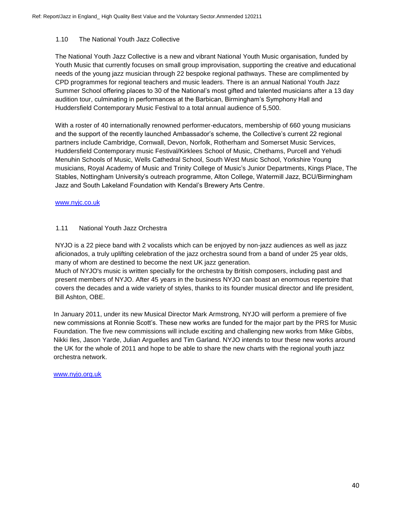### 1.10 The National Youth Jazz Collective

The National Youth Jazz Collective is a new and vibrant National Youth Music organisation, funded by Youth Music that currently focuses on small group improvisation, supporting the creative and educational needs of the young jazz musician through 22 bespoke regional pathways. These are complimented by CPD programmes for regional teachers and music leaders. There is an annual National Youth Jazz Summer School offering places to 30 of the National's most gifted and talented musicians after a 13 day audition tour, culminating in performances at the Barbican, Birmingham's Symphony Hall and Huddersfield Contemporary Music Festival to a total annual audience of 5,500.

With a roster of 40 internationally renowned performer-educators, membership of 660 young musicians and the support of the recently launched Ambassador's scheme, the Collective's current 22 regional partners include Cambridge, Cornwall, Devon, Norfolk, Rotherham and Somerset Music Services, Huddersfield Contemporary music Festival/Kirklees School of Music, Chethams, Purcell and Yehudi Menuhin Schools of Music, Wells Cathedral School, South West Music School, Yorkshire Young musicians, Royal Academy of Music and Trinity College of Music's Junior Departments, Kings Place, The Stables, Nottingham University's outreach programme, Alton College, Watermill Jazz, BCU/Birmingham Jazz and South Lakeland Foundation with Kendal's Brewery Arts Centre.

### [www.nyjc.co.uk](http://www.nyjc.co.uk/)

### 1.11 National Youth Jazz Orchestra

NYJO is a 22 piece band with 2 vocalists which can be enjoyed by non-jazz audiences as well as jazz aficionados, a truly uplifting celebration of the jazz orchestra sound from a band of under 25 year olds, many of whom are destined to become the next UK jazz generation.

Much of NYJO's music is written specially for the orchestra by British composers, including past and present members of NYJO. After 45 years in the business NYJO can boast an enormous repertoire that covers the decades and a wide variety of styles, thanks to its founder musical director and life president, Bill Ashton, OBE.

In January 2011, under its new Musical Director Mark Armstrong, NYJO will perform a premiere of five new commissions at Ronnie Scott's. These new works are funded for the major part by the PRS for Music Foundation. The five new commissions will include exciting and challenging new works from Mike Gibbs, Nikki Iles, Jason Yarde, Julian Arguelles and Tim Garland. NYJO intends to tour these new works around the UK for the whole of 2011 and hope to be able to share the new charts with the regional youth jazz orchestra network.

### [www.nyjo.org.uk](http://www.nyjo.org.uk/)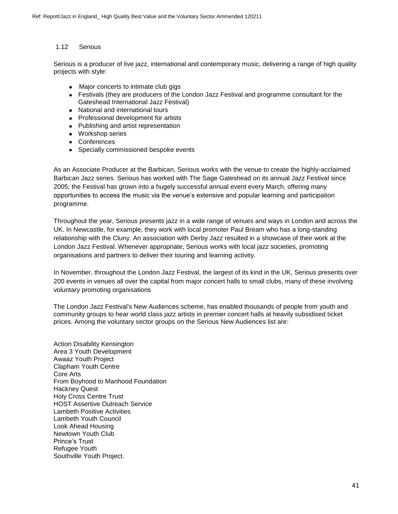### 1.12 Serious

Serious is a producer of live jazz, international and contemporary music, delivering a range of high quality projects with style:

- Major concerts to intimate club gigs  $\bullet$
- Festivals (they are producers of the London Jazz Festival and programme consultant for the Gateshead International Jazz Festival)
- National and international tours
- Professional development for artists
- Publishing and artist representation
- Workshop series
- Conferences
- Specially commissioned bespoke events

As an Associate Producer at the Barbican, Serious works with the venue to create the highly-acclaimed Barbican Jazz series. Serious has worked with The Sage Gateshead on its annual Jazz Festival since 2005; the Festival has grown into a hugely successful annual event every March, offering many opportunities to access the music via the venue's extensive and popular learning and participation programme.

Throughout the year, Serious presents jazz in a wide range of venues and ways in London and across the UK. In Newcastle, for example, they work with local promoter Paul Bream who has a long-standing relationship with the Cluny. An association with Derby Jazz resulted in a showcase of their work at the London Jazz Festival. Whenever appropriate, Serious works with local jazz societies, promoting organisations and partners to deliver their touring and learning activity.

In November, throughout the London Jazz Festival, the largest of its kind in the UK, Serious presents over 200 events in venues all over the capital from major concert halls to small clubs, many of these involving voluntary promoting organisations

The London Jazz Festival's New Audiences scheme, has enabled thousands of people from youth and community groups to hear world class jazz artists in premier concert halls at heavily subsidised ticket prices. Among the voluntary sector groups on the Serious New Audiences list are:

Action Disability Kensington Area 3 Youth Development Awaaz Youth Project Clapham Youth Centre Core Arts From Boyhood to Manhood Foundation Hackney Quest Holy Cross Centre Trust HOST Assertive Outreach Service Lambeth Positive Activities Lambeth Youth Council Look Ahead Housing Newtown Youth Club Prince's Trust Refugee Youth Southville Youth Project.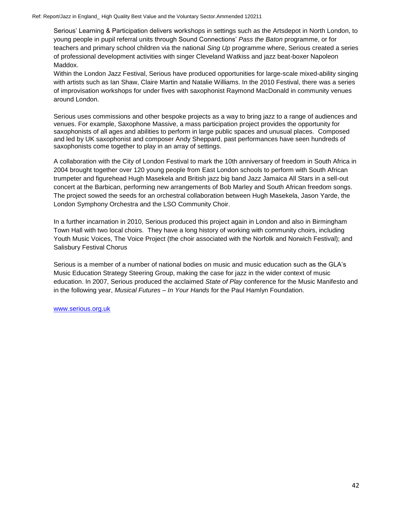Ref: Report/Jazz in England\_ High Quality Best Value and the Voluntary Sector.Ammended 120211

Serious' Learning & Participation delivers workshops in settings such as the Artsdepot in North London, to young people in pupil referral units through Sound Connections' *Pass the Baton* programme, or for teachers and primary school children via the national *Sing Up* programme where, Serious created a series of professional development activities with singer Cleveland Watkiss and jazz beat-boxer Napoleon Maddox.

Within the London Jazz Festival, Serious have produced opportunities for large-scale mixed-ability singing with artists such as Ian Shaw, Claire Martin and Natalie Williams. In the 2010 Festival, there was a series of improvisation workshops for under fives with saxophonist Raymond MacDonald in community venues around London.

Serious uses commissions and other bespoke projects as a way to bring jazz to a range of audiences and venues. For example, Saxophone Massive, a mass participation project provides the opportunity for saxophonists of all ages and abilities to perform in large public spaces and unusual places. Composed and led by UK saxophonist and composer Andy Sheppard, past performances have seen hundreds of saxophonists come together to play in an array of settings.

A collaboration with the City of London Festival to mark the 10th anniversary of freedom in South Africa in 2004 brought together over 120 young people from East London schools to perform with South African trumpeter and figurehead Hugh Masekela and British jazz big band Jazz Jamaica All Stars in a sell-out concert at the Barbican, performing new arrangements of Bob Marley and South African freedom songs. The project sowed the seeds for an orchestral collaboration between Hugh Masekela, Jason Yarde, the London Symphony Orchestra and the LSO Community Choir.

In a further incarnation in 2010, Serious produced this project again in London and also in Birmingham Town Hall with two local choirs. They have a long history of working with community choirs, including Youth Music Voices, The Voice Project (the choir associated with the Norfolk and Norwich Festival); and Salisbury Festival Chorus

Serious is a member of a number of national bodies on music and music education such as the GLA's Music Education Strategy Steering Group, making the case for jazz in the wider context of music education. In 2007, Serious produced the acclaimed *State of Play* conference for the Music Manifesto and in the following year, *Musical Futures – In Your Hands* for the Paul Hamlyn Foundation.

[www.serious.org.uk](http://www.serious.org.uk/)